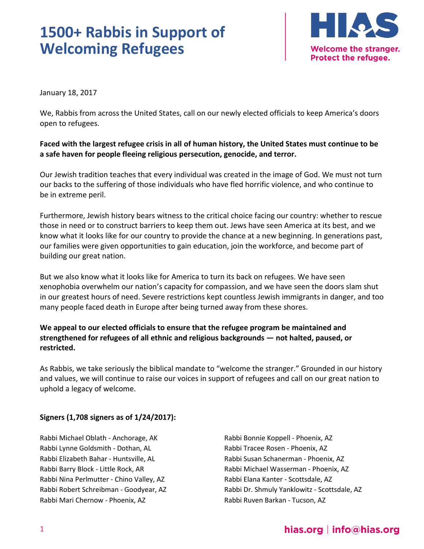

January 18, 2017

We, Rabbis from across the United States, call on our newly elected officials to keep America's doors open to refugees.

#### **Faced with the largest refugee crisis in all of human history, the United States must continue to be a safe haven for people fleeing religious persecution, genocide, and terror.**

Our Jewish tradition teaches that every individual was created in the image of God. We must not turn our backs to the suffering of those individuals who have fled horrific violence, and who continue to be in extreme peril.

Furthermore, Jewish history bears witness to the critical choice facing our country: whether to rescue those in need or to construct barriers to keep them out. Jews have seen America at its best, and we know what it looks like for our country to provide the chance at a new beginning. In generations past, our families were given opportunities to gain education, join the workforce, and become part of building our great nation.

But we also know what it looks like for America to turn its back on refugees. We have seen xenophobia overwhelm our nation's capacity for compassion, and we have seen the doors slam shut in our greatest hours of need. Severe restrictions kept countless Jewish immigrants in danger, and too many people faced death in Europe after being turned away from these shores.

#### **We appeal to our elected officials to ensure that the refugee program be maintained and strengthened for refugees of all ethnic and religious backgrounds — not halted, paused, or restricted.**

As Rabbis, we take seriously the biblical mandate to "welcome the stranger." Grounded in our history and values, we will continue to raise our voices in support of refugees and call on our great nation to uphold a legacy of welcome.

#### **Signers (1,708 signers as of 1/24/2017):**

Rabbi Michael Oblath - Anchorage, AK Rabbi Lynne Goldsmith - Dothan, AL Rabbi Elizabeth Bahar - Huntsville, AL Rabbi Barry Block - Little Rock, AR Rabbi Nina Perlmutter - Chino Valley, AZ Rabbi Robert Schreibman - Goodyear, AZ Rabbi Mari Chernow - Phoenix, AZ

Rabbi Bonnie Koppell - Phoenix, AZ Rabbi Tracee Rosen - Phoenix, AZ Rabbi Susan Schanerman - Phoenix, AZ Rabbi Michael Wasserman - Phoenix, AZ Rabbi Elana Kanter - Scottsdale, AZ Rabbi Dr. Shmuly Yanklowitz - Scottsdale, AZ Rabbi Ruven Barkan - Tucson, AZ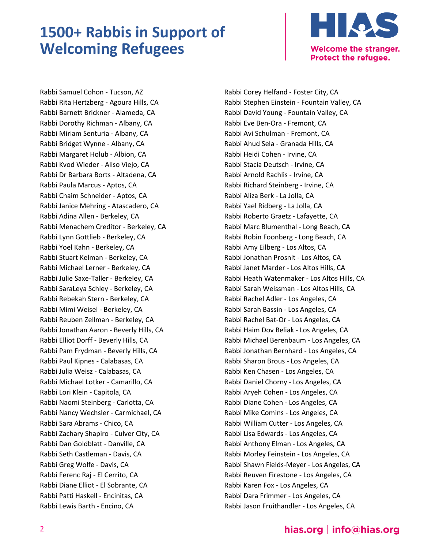

Rabbi Samuel Cohon - Tucson, AZ Rabbi Rita Hertzberg - Agoura Hills, CA Rabbi Barnett Brickner - Alameda, CA Rabbi Dorothy Richman - Albany, CA Rabbi Miriam Senturia - Albany, CA Rabbi Bridget Wynne - Albany, CA Rabbi Margaret Holub - Albion, CA Rabbi Kvod Wieder - Aliso Viejo, CA Rabbi Dr Barbara Borts - Altadena, CA Rabbi Paula Marcus - Aptos, CA Rabbi Chaim Schneider - Aptos, CA Rabbi Janice Mehring - Atascadero, CA Rabbi Adina Allen - Berkeley, CA Rabbi Menachem Creditor - Berkeley, CA Rabbi Lynn Gottlieb - Berkeley, CA Rabbi Yoel Kahn - Berkeley, CA Rabbi Stuart Kelman - Berkeley, CA Rabbi Michael Lerner - Berkeley, CA Rabbi Julie Saxe-Taller - Berkeley, CA Rabbi SaraLeya Schley - Berkeley, CA Rabbi Rebekah Stern - Berkeley, CA Rabbi Mimi Weisel - Berkeley, CA Rabbi Reuben Zellman - Berkeley, CA Rabbi Jonathan Aaron - Beverly Hills, CA Rabbi Elliot Dorff - Beverly Hills, CA Rabbi Pam Frydman - Beverly Hills, CA Rabbi Paul Kipnes - Calabasas, CA Rabbi Julia Weisz - Calabasas, CA Rabbi Michael Lotker - Camarillo, CA Rabbi Lori Klein - Capitola, CA Rabbi Naomi Steinberg - Carlotta, CA Rabbi Nancy Wechsler - Carmichael, CA Rabbi Sara Abrams - Chico, CA Rabbi Zachary Shapiro - Culver City, CA Rabbi Dan Goldblatt - Danville, CA Rabbi Seth Castleman - Davis, CA Rabbi Greg Wolfe - Davis, CA Rabbi Ferenc Raj - El Cerrito, CA Rabbi Diane Elliot - El Sobrante, CA Rabbi Patti Haskell - Encinitas, CA Rabbi Lewis Barth - Encino, CA

Rabbi Corey Helfand - Foster City, CA Rabbi Stephen Einstein - Fountain Valley, CA Rabbi David Young - Fountain Valley, CA Rabbi Eve Ben-Ora - Fremont, CA Rabbi Avi Schulman - Fremont, CA Rabbi Ahud Sela - Granada Hills, CA Rabbi Heidi Cohen - Irvine, CA Rabbi Stacia Deutsch - Irvine, CA Rabbi Arnold Rachlis - Irvine, CA Rabbi Richard Steinberg - Irvine, CA Rabbi Aliza Berk - La Jolla, CA Rabbi Yael Ridberg - La Jolla, CA Rabbi Roberto Graetz - Lafayette, CA Rabbi Marc Blumenthal - Long Beach, CA Rabbi Robin Foonberg - Long Beach, CA Rabbi Amy Eilberg - Los Altos, CA Rabbi Jonathan Prosnit - Los Altos, CA Rabbi Janet Marder - Los Altos Hills, CA Rabbi Heath Watenmaker - Los Altos Hills, CA Rabbi Sarah Weissman - Los Altos Hills, CA Rabbi Rachel Adler - Los Angeles, CA Rabbi Sarah Bassin - Los Angeles, CA Rabbi Rachel Bat-Or - Los Angeles, CA Rabbi Haim Dov Beliak - Los Angeles, CA Rabbi Michael Berenbaum - Los Angeles, CA Rabbi Jonathan Bernhard - Los Angeles, CA Rabbi Sharon Brous - Los Angeles, CA Rabbi Ken Chasen - Los Angeles, CA Rabbi Daniel Chorny - Los Angeles, CA Rabbi Aryeh Cohen - Los Angeles, CA Rabbi Diane Cohen - Los Angeles, CA Rabbi Mike Comins - Los Angeles, CA Rabbi William Cutter - Los Angeles, CA Rabbi Lisa Edwards - Los Angeles, CA Rabbi Anthony Elman - Los Angeles, CA Rabbi Morley Feinstein - Los Angeles, CA Rabbi Shawn Fields-Meyer - Los Angeles, CA Rabbi Reuven Firestone - Los Angeles, CA Rabbi Karen Fox - Los Angeles, CA Rabbi Dara Frimmer - Los Angeles, CA Rabbi Jason Fruithandler - Los Angeles, CA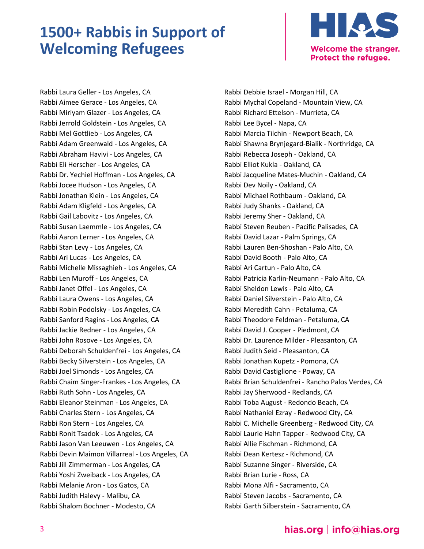

Rabbi Laura Geller - Los Angeles, CA Rabbi Aimee Gerace - Los Angeles, CA Rabbi Miriyam Glazer - Los Angeles, CA Rabbi Jerrold Goldstein - Los Angeles, CA Rabbi Mel Gottlieb - Los Angeles, CA Rabbi Adam Greenwald - Los Angeles, CA Rabbi Abraham Havivi - Los Angeles, CA Rabbi Eli Herscher - Los Angeles, CA Rabbi Dr. Yechiel Hoffman - Los Angeles, CA Rabbi Jocee Hudson - Los Angeles, CA Rabbi Jonathan Klein - Los Angeles, CA Rabbi Adam Kligfeld - Los Angeles, CA Rabbi Gail Labovitz - Los Angeles, CA Rabbi Susan Laemmle - Los Angeles, CA Rabbi Aaron Lerner - Los Angeles, CA Rabbi Stan Levy - Los Angeles, CA Rabbi Ari Lucas - Los Angeles, CA Rabbi Michelle Missaghieh - Los Angeles, CA Rabbi Len Muroff - Los Angeles, CA Rabbi Janet Offel - Los Angeles, CA Rabbi Laura Owens - Los Angeles, CA Rabbi Robin Podolsky - Los Angeles, CA Rabbi Sanford Ragins - Los Angeles, CA Rabbi Jackie Redner - Los Angeles, CA Rabbi John Rosove - Los Angeles, CA Rabbi Deborah Schuldenfrei - Los Angeles, CA Rabbi Becky Silverstein - Los Angeles, CA Rabbi Joel Simonds - Los Angeles, CA Rabbi Chaim Singer-Frankes - Los Angeles, CA Rabbi Ruth Sohn - Los Angeles, CA Rabbi Eleanor Steinman - Los Angeles, CA Rabbi Charles Stern - Los Angeles, CA Rabbi Ron Stern - Los Angeles, CA Rabbi Ronit Tsadok - Los Angeles, CA Rabbi Jason Van Leeuwen - Los Angeles, CA Rabbi Devin Maimon Villarreal - Los Angeles, CA Rabbi Jill Zimmerman - Los Angeles, CA Rabbi Yoshi Zweiback - Los Angeles, CA Rabbi Melanie Aron - Los Gatos, CA Rabbi Judith Halevy - Malibu, CA Rabbi Shalom Bochner - Modesto, CA

Rabbi Debbie Israel - Morgan Hill, CA Rabbi Mychal Copeland - Mountain View, CA Rabbi Richard Ettelson - Murrieta, CA Rabbi Lee Bycel - Napa, CA Rabbi Marcia Tilchin - Newport Beach, CA Rabbi Shawna Brynjegard-Bialik - Northridge, CA Rabbi Rebecca Joseph - Oakland, CA Rabbi Elliot Kukla - Oakland, CA Rabbi Jacqueline Mates-Muchin - Oakland, CA Rabbi Dev Noily - Oakland, CA Rabbi Michael Rothbaum - Oakland, CA Rabbi Judy Shanks - Oakland, CA Rabbi Jeremy Sher - Oakland, CA Rabbi Steven Reuben - Pacific Palisades, CA Rabbi David Lazar - Palm Springs, CA Rabbi Lauren Ben-Shoshan - Palo Alto, CA Rabbi David Booth - Palo Alto, CA Rabbi Ari Cartun - Palo Alto, CA Rabbi Patricia Karlin-Neumann - Palo Alto, CA Rabbi Sheldon Lewis - Palo Alto, CA Rabbi Daniel Silverstein - Palo Alto, CA Rabbi Meredith Cahn - Petaluma, CA Rabbi Theodore Feldman - Petaluma, CA Rabbi David J. Cooper - Piedmont, CA Rabbi Dr. Laurence Milder - Pleasanton, CA Rabbi Judith Seid - Pleasanton, CA Rabbi Jonathan Kupetz - Pomona, CA Rabbi David Castiglione - Poway, CA Rabbi Brian Schuldenfrei - Rancho Palos Verdes, CA Rabbi Jay Sherwood - Redlands, CA Rabbi Toba August - Redondo Beach, CA Rabbi Nathaniel Ezray - Redwood City, CA Rabbi C. Michelle Greenberg - Redwood City, CA Rabbi Laurie Hahn Tapper - Redwood City, CA Rabbi Allie Fischman - Richmond, CA Rabbi Dean Kertesz - Richmond, CA Rabbi Suzanne Singer - Riverside, CA Rabbi Brian Lurie - Ross, CA Rabbi Mona Alfi - Sacramento, CA Rabbi Steven Jacobs - Sacramento, CA Rabbi Garth Silberstein - Sacramento, CA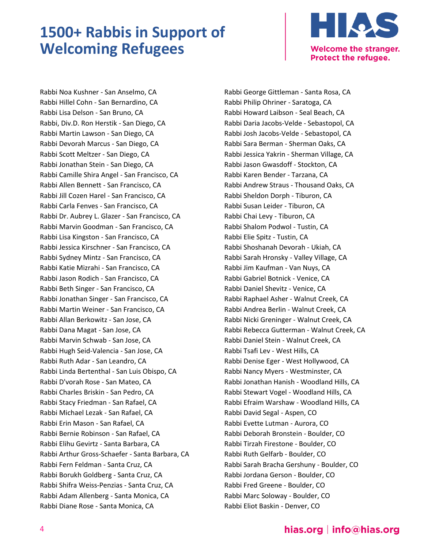

Rabbi Noa Kushner - San Anselmo, CA Rabbi Hillel Cohn - San Bernardino, CA Rabbi Lisa Delson - San Bruno, CA Rabbi, Div.D. Ron Herstik - San Diego, CA Rabbi Martin Lawson - San Diego, CA Rabbi Devorah Marcus - San Diego, CA Rabbi Scott Meltzer - San Diego, CA Rabbi Jonathan Stein - San Diego, CA Rabbi Camille Shira Angel - San Francisco, CA Rabbi Allen Bennett - San Francisco, CA Rabbi Jill Cozen Harel - San Francisco, CA Rabbi Carla Fenves - San Francisco, CA Rabbi Dr. Aubrey L. Glazer - San Francisco, CA Rabbi Marvin Goodman - San Francisco, CA Rabbi Lisa Kingston - San Francisco, CA Rabbi Jessica Kirschner - San Francisco, CA Rabbi Sydney Mintz - San Francisco, CA Rabbi Katie Mizrahi - San Francisco, CA Rabbi Jason Rodich - San Francisco, CA Rabbi Beth Singer - San Francisco, CA Rabbi Jonathan Singer - San Francisco, CA Rabbi Martin Weiner - San Francisco, CA Rabbi Allan Berkowitz - San Jose, CA Rabbi Dana Magat - San Jose, CA Rabbi Marvin Schwab - San Jose, CA Rabbi Hugh Seid-Valencia - San Jose, CA Rabbi Ruth Adar - San Leandro, CA Rabbi Linda Bertenthal - San Luis Obispo, CA Rabbi D'vorah Rose - San Mateo, CA Rabbi Charles Briskin - San Pedro, CA Rabbi Stacy Friedman - San Rafael, CA Rabbi Michael Lezak - San Rafael, CA Rabbi Erin Mason - San Rafael, CA Rabbi Bernie Robinson - San Rafael, CA Rabbi Elihu Gevirtz - Santa Barbara, CA Rabbi Arthur Gross-Schaefer - Santa Barbara, CA Rabbi Fern Feldman - Santa Cruz, CA Rabbi Borukh Goldberg - Santa Cruz, CA Rabbi Shifra Weiss-Penzias - Santa Cruz, CA Rabbi Adam Allenberg - Santa Monica, CA Rabbi Diane Rose - Santa Monica, CA

Rabbi George Gittleman - Santa Rosa, CA Rabbi Philip Ohriner - Saratoga, CA Rabbi Howard Laibson - Seal Beach, CA Rabbi Daria Jacobs-Velde - Sebastopol, CA Rabbi Josh Jacobs-Velde - Sebastopol, CA Rabbi Sara Berman - Sherman Oaks, CA Rabbi Jessica Yakrin - Sherman Village, CA Rabbi Jason Gwasdoff - Stockton, CA Rabbi Karen Bender - Tarzana, CA Rabbi Andrew Straus - Thousand Oaks, CA Rabbi Sheldon Dorph - Tiburon, CA Rabbi Susan Leider - Tiburon, CA Rabbi Chai Levy - Tiburon, CA Rabbi Shalom Podwol - Tustin, CA Rabbi Elie Spitz - Tustin, CA Rabbi Shoshanah Devorah - Ukiah, CA Rabbi Sarah Hronsky - Valley Village, CA Rabbi Jim Kaufman - Van Nuys, CA Rabbi Gabriel Botnick - Venice, CA Rabbi Daniel Shevitz - Venice, CA Rabbi Raphael Asher - Walnut Creek, CA Rabbi Andrea Berlin - Walnut Creek, CA Rabbi Nicki Greninger - Walnut Creek, CA Rabbi Rebecca Gutterman - Walnut Creek, CA Rabbi Daniel Stein - Walnut Creek, CA Rabbi Tsafi Lev - West Hills, CA Rabbi Denise Eger - West Hollywood, CA Rabbi Nancy Myers - Westminster, CA Rabbi Jonathan Hanish - Woodland Hills, CA Rabbi Stewart Vogel - Woodland Hills, CA Rabbi Efraim Warshaw - Woodland Hills, CA Rabbi David Segal - Aspen, CO Rabbi Evette Lutman - Aurora, CO Rabbi Deborah Bronstein - Boulder, CO Rabbi Tirzah Firestone - Boulder, CO Rabbi Ruth Gelfarb - Boulder, CO Rabbi Sarah Bracha Gershuny - Boulder, CO Rabbi Jordana Gerson - Boulder, CO Rabbi Fred Greene - Boulder, CO Rabbi Marc Soloway - Boulder, CO Rabbi Eliot Baskin - Denver, CO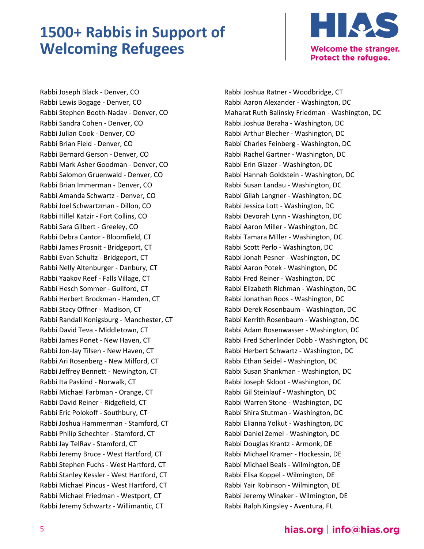

Rabbi Joseph Black - Denver, CO Rabbi Lewis Bogage - Denver, CO Rabbi Stephen Booth-Nadav - Denver, CO Rabbi Sandra Cohen - Denver, CO Rabbi Julian Cook - Denver, CO Rabbi Brian Field - Denver, CO Rabbi Bernard Gerson - Denver, CO Rabbi Mark Asher Goodman - Denver, CO Rabbi Salomon Gruenwald - Denver, CO Rabbi Brian Immerman - Denver, CO Rabbi Amanda Schwartz - Denver, CO Rabbi Joel Schwartzman - Dillon, CO Rabbi Hillel Katzir - Fort Collins, CO Rabbi Sara Gilbert - Greeley, CO Rabbi Debra Cantor - Bloomfield, CT Rabbi James Prosnit - Bridgeport, CT Rabbi Evan Schultz - Bridgeport, CT Rabbi Nelly Altenburger - Danbury, CT Rabbi Yaakov Reef - Falls Village, CT Rabbi Hesch Sommer - Guilford, CT Rabbi Herbert Brockman - Hamden, CT Rabbi Stacy Offner - Madison, CT Rabbi Randall Konigsburg - Manchester, CT Rabbi David Teva - Middletown, CT Rabbi James Ponet - New Haven, CT Rabbi Jon-Jay Tilsen - New Haven, CT Rabbi Ari Rosenberg - New Milford, CT Rabbi Jeffrey Bennett - Newington, CT Rabbi Ita Paskind - Norwalk, CT Rabbi Michael Farbman - Orange, CT Rabbi David Reiner - Ridgefield, CT Rabbi Eric Polokoff - Southbury, CT Rabbi Joshua Hammerman - Stamford, CT Rabbi Philip Schechter - Stamford, CT Rabbi Jay TelRav - Stamford, CT Rabbi Jeremy Bruce - West Hartford, CT Rabbi Stephen Fuchs - West Hartford, CT Rabbi Stanley Kessler - West Hartford, CT Rabbi Michael Pincus - West Hartford, CT Rabbi Michael Friedman - Westport, CT Rabbi Jeremy Schwartz - Willimantic, CT

Rabbi Joshua Ratner - Woodbridge, CT Rabbi Aaron Alexander - Washington, DC Maharat Ruth Balinsky Friedman - Washington, DC Rabbi Joshua Beraha - Washington, DC Rabbi Arthur Blecher - Washington, DC Rabbi Charles Feinberg - Washington, DC Rabbi Rachel Gartner - Washington, DC Rabbi Erin Glazer - Washington, DC Rabbi Hannah Goldstein - Washington, DC Rabbi Susan Landau - Washington, DC Rabbi Gilah Langner - Washington, DC Rabbi Jessica Lott - Washington, DC Rabbi Devorah Lynn - Washington, DC Rabbi Aaron Miller - Washington, DC Rabbi Tamara Miller - Washington, DC Rabbi Scott Perlo - Washington, DC Rabbi Jonah Pesner - Washington, DC Rabbi Aaron Potek - Washington, DC Rabbi Fred Reiner - Washington, DC Rabbi Elizabeth Richman - Washington, DC Rabbi Jonathan Roos - Washington, DC Rabbi Derek Rosenbaum - Washington, DC Rabbi Kerrith Rosenbaum - Washington, DC Rabbi Adam Rosenwasser - Washington, DC Rabbi Fred Scherlinder Dobb - Washington, DC Rabbi Herbert Schwartz - Washington, DC Rabbi Ethan Seidel - Washington, DC Rabbi Susan Shankman - Washington, DC Rabbi Joseph Skloot - Washington, DC Rabbi Gil Steinlauf - Washington, DC Rabbi Warren Stone - Washington, DC Rabbi Shira Stutman - Washington, DC Rabbi Elianna Yolkut - Washington, DC Rabbi Daniel Zemel - Washington, DC Rabbi Douglas Krantz - Armonk, DE Rabbi Michael Kramer - Hockessin, DE Rabbi Michael Beals - Wilmington, DE Rabbi Elisa Koppel - Wilmington, DE Rabbi Yair Robinson - Wilmington, DE Rabbi Jeremy Winaker - Wilmington, DE Rabbi Ralph Kingsley - Aventura, FL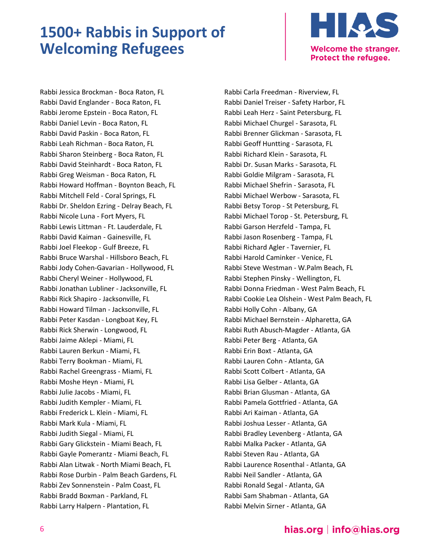

Rabbi Jessica Brockman - Boca Raton, FL Rabbi David Englander - Boca Raton, FL Rabbi Jerome Epstein - Boca Raton, FL Rabbi Daniel Levin - Boca Raton, FL Rabbi David Paskin - Boca Raton, FL Rabbi Leah Richman - Boca Raton, FL Rabbi Sharon Steinberg - Boca Raton, FL Rabbi David Steinhardt - Boca Raton, FL Rabbi Greg Weisman - Boca Raton, FL Rabbi Howard Hoffman - Boynton Beach, FL Rabbi Mitchell Feld - Coral Springs, FL Rabbi Dr. Sheldon Ezring - Delray Beach, FL Rabbi Nicole Luna - Fort Myers, FL Rabbi Lewis Littman - Ft. Lauderdale, FL Rabbi David Kaiman - Gainesville, FL Rabbi Joel Fleekop - Gulf Breeze, FL Rabbi Bruce Warshal - Hillsboro Beach, FL Rabbi Jody Cohen-Gavarian - Hollywood, FL Rabbi Cheryl Weiner - Hollywood, FL Rabbi Jonathan Lubliner - Jacksonville, FL Rabbi Rick Shapiro - Jacksonville, FL Rabbi Howard Tilman - Jacksonville, FL Rabbi Peter Kasdan - Longboat Key, FL Rabbi Rick Sherwin - Longwood, FL Rabbi Jaime Aklepi - Miami, FL Rabbi Lauren Berkun - Miami, FL Rabbi Terry Bookman - Miami, FL Rabbi Rachel Greengrass - Miami, FL Rabbi Moshe Heyn - Miami, FL Rabbi Julie Jacobs - Miami, FL Rabbi Judith Kempler - Miami, FL Rabbi Frederick L. Klein - Miami, FL Rabbi Mark Kula - Miami, FL Rabbi Judith Siegal - Miami, FL Rabbi Gary Glickstein - Miami Beach, FL Rabbi Gayle Pomerantz - Miami Beach, FL Rabbi Alan Litwak - North Miami Beach, FL Rabbi Rose Durbin - Palm Beach Gardens, FL Rabbi Zev Sonnenstein - Palm Coast, FL Rabbi Bradd Boxman - Parkland, FL Rabbi Larry Halpern - Plantation, FL

Rabbi Carla Freedman - Riverview, FL Rabbi Daniel Treiser - Safety Harbor, FL Rabbi Leah Herz - Saint Petersburg, FL Rabbi Michael Churgel - Sarasota, FL Rabbi Brenner Glickman - Sarasota, FL Rabbi Geoff Huntting - Sarasota, FL Rabbi Richard Klein - Sarasota, FL Rabbi Dr. Susan Marks - Sarasota, FL Rabbi Goldie Milgram - Sarasota, FL Rabbi Michael Shefrin - Sarasota, FL Rabbi Michael Werbow - Sarasota, FL Rabbi Betsy Torop - St Petersburg, FL Rabbi Michael Torop - St. Petersburg, FL Rabbi Garson Herzfeld - Tampa, FL Rabbi Jason Rosenberg - Tampa, FL Rabbi Richard Agler - Tavernier, FL Rabbi Harold Caminker - Venice, FL Rabbi Steve Westman - W.Palm Beach, FL Rabbi Stephen Pinsky - Wellington, FL Rabbi Donna Friedman - West Palm Beach, FL Rabbi Cookie Lea Olshein - West Palm Beach, FL Rabbi Holly Cohn - Albany, GA Rabbi Michael Bernstein - Alpharetta, GA Rabbi Ruth Abusch-Magder - Atlanta, GA Rabbi Peter Berg - Atlanta, GA Rabbi Erin Boxt - Atlanta, GA Rabbi Lauren Cohn - Atlanta, GA Rabbi Scott Colbert - Atlanta, GA Rabbi Lisa Gelber - Atlanta, GA Rabbi Brian Glusman - Atlanta, GA Rabbi Pamela Gottfried - Atlanta, GA Rabbi Ari Kaiman - Atlanta, GA Rabbi Joshua Lesser - Atlanta, GA Rabbi Bradley Levenberg - Atlanta, GA Rabbi Malka Packer - Atlanta, GA Rabbi Steven Rau - Atlanta, GA Rabbi Laurence Rosenthal - Atlanta, GA Rabbi Neil Sandler - Atlanta, GA Rabbi Ronald Segal - Atlanta, GA Rabbi Sam Shabman - Atlanta, GA Rabbi Melvin Sirner - Atlanta, GA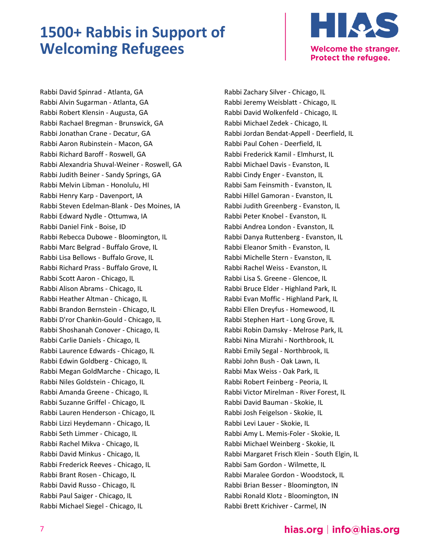

Rabbi David Spinrad - Atlanta, GA Rabbi Alvin Sugarman - Atlanta, GA Rabbi Robert Klensin - Augusta, GA Rabbi Rachael Bregman - Brunswick, GA Rabbi Jonathan Crane - Decatur, GA Rabbi Aaron Rubinstein - Macon, GA Rabbi Richard Baroff - Roswell, GA Rabbi Alexandria Shuval-Weiner - Roswell, GA Rabbi Judith Beiner - Sandy Springs, GA Rabbi Melvin Libman - Honolulu, HI Rabbi Henry Karp - Davenport, IA Rabbi Steven Edelman-Blank - Des Moines, IA Rabbi Edward Nydle - Ottumwa, IA Rabbi Daniel Fink - Boise, ID Rabbi Rebecca Dubowe - Bloomington, IL Rabbi Marc Belgrad - Buffalo Grove, IL Rabbi Lisa Bellows - Buffalo Grove, IL Rabbi Richard Prass - Buffalo Grove, IL Rabbi Scott Aaron - Chicago, IL Rabbi Alison Abrams - Chicago, IL Rabbi Heather Altman - Chicago, IL Rabbi Brandon Bernstein - Chicago, IL Rabbi D'ror Chankin-Gould - Chicago, IL Rabbi Shoshanah Conover - Chicago, IL Rabbi Carlie Daniels - Chicago, IL Rabbi Laurence Edwards - Chicago, IL Rabbi Edwin Goldberg - Chicago, IL Rabbi Megan GoldMarche - Chicago, IL Rabbi Niles Goldstein - Chicago, IL Rabbi Amanda Greene - Chicago, IL Rabbi Suzanne Griffel - Chicago, IL Rabbi Lauren Henderson - Chicago, IL Rabbi Lizzi Heydemann - Chicago, IL Rabbi Seth Limmer - Chicago, IL Rabbi Rachel Mikva - Chicago, IL Rabbi David Minkus - Chicago, IL Rabbi Frederick Reeves - Chicago, IL Rabbi Brant Rosen - Chicago, IL Rabbi David Russo - Chicago, IL Rabbi Paul Saiger - Chicago, IL Rabbi Michael Siegel - Chicago, IL

Rabbi Zachary Silver - Chicago, IL Rabbi Jeremy Weisblatt - Chicago, IL Rabbi David Wolkenfeld - Chicago, IL Rabbi Michael Zedek - Chicago, IL Rabbi Jordan Bendat-Appell - Deerfield, IL Rabbi Paul Cohen - Deerfield, IL Rabbi Frederick Kamil - Elmhurst, IL Rabbi Michael Davis - Evanston, IL Rabbi Cindy Enger - Evanston, IL Rabbi Sam Feinsmith - Evanston, IL Rabbi Hillel Gamoran - Evanston, IL Rabbi Judith Greenberg - Evanston, IL Rabbi Peter Knobel - Evanston, IL Rabbi Andrea London - Evanston, IL Rabbi Danya Ruttenberg - Evanston, IL Rabbi Eleanor Smith - Evanston, IL Rabbi Michelle Stern - Evanston, IL Rabbi Rachel Weiss - Evanston, IL Rabbi Lisa S. Greene - Glencoe, IL Rabbi Bruce Elder - Highland Park, IL Rabbi Evan Moffic - Highland Park, IL Rabbi Ellen Dreyfus - Homewood, IL Rabbi Stephen Hart - Long Grove, IL Rabbi Robin Damsky - Melrose Park, IL Rabbi Nina Mizrahi - Northbrook, IL Rabbi Emily Segal - Northbrook, IL Rabbi John Bush - Oak Lawn, IL Rabbi Max Weiss - Oak Park, IL Rabbi Robert Feinberg - Peoria, IL Rabbi Victor Mirelman - River Forest, IL Rabbi David Bauman - Skokie, IL Rabbi Josh Feigelson - Skokie, IL Rabbi Levi Lauer - Skokie, IL Rabbi Amy L. Memis-Foler - Skokie, IL Rabbi Michael Weinberg - Skokie, IL Rabbi Margaret Frisch Klein - South Elgin, IL Rabbi Sam Gordon - Wilmette, IL Rabbi Maralee Gordon - Woodstock, IL Rabbi Brian Besser - Bloomington, IN Rabbi Ronald Klotz - Bloomington, IN Rabbi Brett Krichiver - Carmel, IN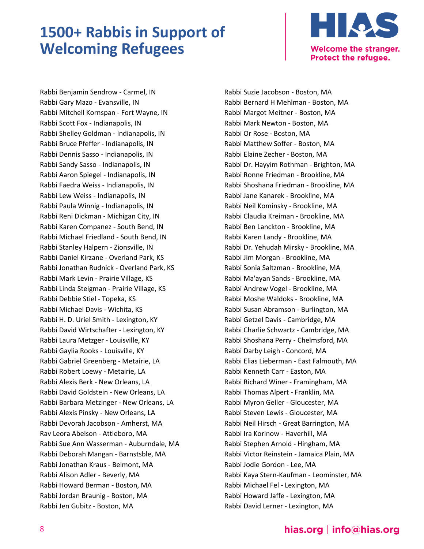

Rabbi Benjamin Sendrow - Carmel, IN Rabbi Gary Mazo - Evansville, IN Rabbi Mitchell Kornspan - Fort Wayne, IN Rabbi Scott Fox - Indianapolis, IN Rabbi Shelley Goldman - Indianapolis, IN Rabbi Bruce Pfeffer - Indianapolis, IN Rabbi Dennis Sasso - Indianapolis, IN Rabbi Sandy Sasso - Indianapolis, IN Rabbi Aaron Spiegel - Indianapolis, IN Rabbi Faedra Weiss - Indianapolis, IN Rabbi Lew Weiss - Indianapolis, IN Rabbi Paula Winnig - Indianapolis, IN Rabbi Reni Dickman - Michigan City, IN Rabbi Karen Companez - South Bend, IN Rabbi Michael Friedland - South Bend, IN Rabbi Stanley Halpern - Zionsville, IN Rabbi Daniel Kirzane - Overland Park, KS Rabbi Jonathan Rudnick - Overland Park, KS Rabbi Mark Levin - Prairie Village, KS Rabbi Linda Steigman - Prairie Village, KS Rabbi Debbie Stiel - Topeka, KS Rabbi Michael Davis - Wichita, KS Rabbi H. D. Uriel Smith - Lexington, KY Rabbi David Wirtschafter - Lexington, KY Rabbi Laura Metzger - Louisville, KY Rabbi Gaylia Rooks - Louisville, KY Rabbi Gabriel Greenberg - Metairie, LA Rabbi Robert Loewy - Metairie, LA Rabbi Alexis Berk - New Orleans, LA Rabbi David Goldstein - New Orleans, LA Rabbi Barbara Metzinger - New Orleans, LA Rabbi Alexis Pinsky - New Orleans, LA Rabbi Devorah Jacobson - Amherst, MA Rav Leora Abelson - Attleboro, MA Rabbi Sue Ann Wasserman - Auburndale, MA Rabbi Deborah Mangan - Barnstsble, MA Rabbi Jonathan Kraus - Belmont, MA Rabbi Alison Adler - Beverly, MA Rabbi Howard Berman - Boston, MA Rabbi Jordan Braunig - Boston, MA Rabbi Jen Gubitz - Boston, MA

Rabbi Suzie Jacobson - Boston, MA Rabbi Bernard H Mehlman - Boston, MA Rabbi Margot Meitner - Boston, MA Rabbi Mark Newton - Boston, MA Rabbi Or Rose - Boston, MA Rabbi Matthew Soffer - Boston, MA Rabbi Elaine Zecher - Boston, MA Rabbi Dr. Hayyim Rothman - Brighton, MA Rabbi Ronne Friedman - Brookline, MA Rabbi Shoshana Friedman - Brookline, MA Rabbi Jane Kanarek - Brookline, MA Rabbi Neil Kominsky - Brookline, MA Rabbi Claudia Kreiman - Brookline, MA Rabbi Ben Lanckton - Brookline, MA Rabbi Karen Landy - Brookline, MA Rabbi Dr. Yehudah Mirsky - Brookline, MA Rabbi Jim Morgan - Brookline, MA Rabbi Sonia Saltzman - Brookline, MA Rabbi Ma'ayan Sands - Brookline, MA Rabbi Andrew Vogel - Brookline, MA Rabbi Moshe Waldoks - Brookline, MA Rabbi Susan Abramson - Burlington, MA Rabbi Getzel Davis - Cambridge, MA Rabbi Charlie Schwartz - Cambridge, MA Rabbi Shoshana Perry - Chelmsford, MA Rabbi Darby Leigh - Concord, MA Rabbi Elias Lieberman - East Falmouth, MA Rabbi Kenneth Carr - Easton, MA Rabbi Richard Winer - Framingham, MA Rabbi Thomas Alpert - Franklin, MA Rabbi Myron Geller - Gloucester, MA Rabbi Steven Lewis - Gloucester, MA Rabbi Neil Hirsch - Great Barrington, MA Rabbi Ira Korinow - Haverhill, MA Rabbi Stephen Arnold - Hingham, MA Rabbi Victor Reinstein - Jamaica Plain, MA Rabbi Jodie Gordon - Lee, MA Rabbi Kaya Stern-Kaufman - Leominster, MA Rabbi Michael Fel - Lexington, MA Rabbi Howard Jaffe - Lexington, MA Rabbi David Lerner - Lexington, MA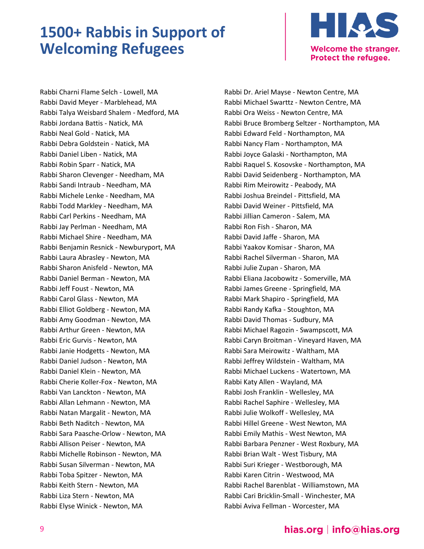

Rabbi Charni Flame Selch - Lowell, MA Rabbi David Meyer - Marblehead, MA Rabbi Talya Weisbard Shalem - Medford, MA Rabbi Jordana Battis - Natick, MA Rabbi Neal Gold - Natick, MA Rabbi Debra Goldstein - Natick, MA Rabbi Daniel Liben - Natick, MA Rabbi Robin Sparr - Natick, MA Rabbi Sharon Clevenger - Needham, MA Rabbi Sandi Intraub - Needham, MA Rabbi Michele Lenke - Needham, MA Rabbi Todd Markley - Needham, MA Rabbi Carl Perkins - Needham, MA Rabbi Jay Perlman - Needham, MA Rabbi Michael Shire - Needham, MA Rabbi Benjamin Resnick - Newburyport, MA Rabbi Laura Abrasley - Newton, MA Rabbi Sharon Anisfeld - Newton, MA Rabbi Daniel Berman - Newton, MA Rabbi Jeff Foust - Newton, MA Rabbi Carol Glass - Newton, MA Rabbi Elliot Goldberg - Newton, MA Rabbi Amy Goodman - Newton, MA Rabbi Arthur Green - Newton, MA Rabbi Eric Gurvis - Newton, MA Rabbi Janie Hodgetts - Newton, MA Rabbi Daniel Judson - Newton, MA Rabbi Daniel Klein - Newton, MA Rabbi Cherie Koller-Fox - Newton, MA Rabbi Van Lanckton - Newton, MA Rabbi Allan Lehmann - Newton, MA Rabbi Natan Margalit - Newton, MA Rabbi Beth Naditch - Newton, MA Rabbi Sara Paasche-Orlow - Newton, MA Rabbi Allison Peiser - Newton, MA Rabbi Michelle Robinson - Newton, MA Rabbi Susan Silverman - Newton, MA Rabbi Toba Spitzer - Newton, MA Rabbi Keith Stern - Newton, MA Rabbi Liza Stern - Newton, MA Rabbi Elyse Winick - Newton, MA

Rabbi Dr. Ariel Mayse - Newton Centre, MA Rabbi Michael Swarttz - Newton Centre, MA Rabbi Ora Weiss - Newton Centre, MA Rabbi Bruce Bromberg Seltzer - Northampton, MA Rabbi Edward Feld - Northampton, MA Rabbi Nancy Flam - Northampton, MA Rabbi Joyce Galaski - Northampton, MA Rabbi Raquel S. Kosovske - Northampton, MA Rabbi David Seidenberg - Northampton, MA Rabbi Rim Meirowitz - Peabody, MA Rabbi Joshua Breindel - Pittsfield, MA Rabbi David Weiner - Pittsfield, MA Rabbi Jillian Cameron - Salem, MA Rabbi Ron Fish - Sharon, MA Rabbi David Jaffe - Sharon, MA Rabbi Yaakov Komisar - Sharon, MA Rabbi Rachel Silverman - Sharon, MA Rabbi Julie Zupan - Sharon, MA Rabbi Eliana Jacobowitz - Somerville, MA Rabbi James Greene - Springfield, MA Rabbi Mark Shapiro - Springfield, MA Rabbi Randy Kafka - Stoughton, MA Rabbi David Thomas - Sudbury, MA Rabbi Michael Ragozin - Swampscott, MA Rabbi Caryn Broitman - Vineyard Haven, MA Rabbi Sara Meirowitz - Waltham, MA Rabbi Jeffrey Wildstein - Waltham, MA Rabbi Michael Luckens - Watertown, MA Rabbi Katy Allen - Wayland, MA Rabbi Josh Franklin - Wellesley, MA Rabbi Rachel Saphire - Wellesley, MA Rabbi Julie Wolkoff - Wellesley, MA Rabbi Hillel Greene - West Newton, MA Rabbi Emily Mathis - West Newton, MA Rabbi Barbara Penzner - West Roxbury, MA Rabbi Brian Walt - West Tisbury, MA Rabbi Suri Krieger - Westborough, MA Rabbi Karen Citrin - Westwood, MA Rabbi Rachel Barenblat - Williamstown, MA Rabbi Cari Bricklin-Small - Winchester, MA Rabbi Aviva Fellman - Worcester, MA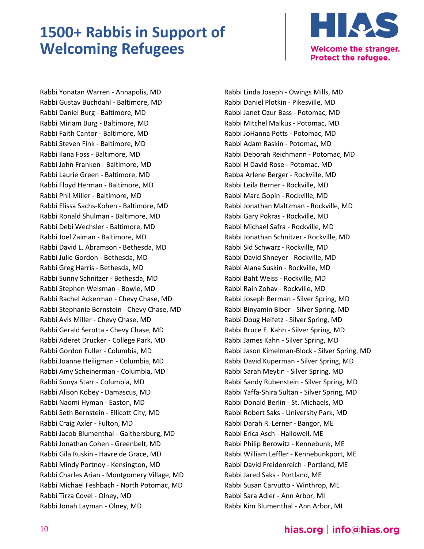

Rabbi Yonatan Warren - Annapolis, MD Rabbi Gustav Buchdahl - Baltimore, MD Rabbi Daniel Burg - Baltimore, MD Rabbi Miriam Burg - Baltimore, MD Rabbi Faith Cantor - Baltimore, MD Rabbi Steven Fink - Baltimore, MD Rabbi Ilana Foss - Baltimore, MD Rabbi John Franken - Baltimore, MD Rabbi Laurie Green - Baltimore, MD Rabbi Floyd Herman - Baltimore, MD Rabbi Phil Miller - Baltimore, MD Rabbi Elissa Sachs-Kohen - Baltimore, MD Rabbi Ronald Shulman - Baltimore, MD Rabbi Debi Wechsler - Baltimore, MD Rabbi Joel Zaiman - Baltimore, MD Rabbi David L. Abramson - Bethesda, MD Rabbi Julie Gordon - Bethesda, MD Rabbi Greg Harris - Bethesda, MD Rabbi Sunny Schnitzer - Bethesda, MD Rabbi Stephen Weisman - Bowie, MD Rabbi Rachel Ackerman - Chevy Chase, MD Rabbi Stephanie Bernstein - Chevy Chase, MD Rabbi Avis Miller - Chevy Chase, MD Rabbi Gerald Serotta - Chevy Chase, MD Rabbi Aderet Drucker - College Park, MD Rabbi Gordon Fuller - Columbia, MD Rabbi Joanne Heiligman - Columbia, MD Rabbi Amy Scheinerman - Columbia, MD Rabbi Sonya Starr - Columbia, MD Rabbi Alison Kobey - Damascus, MD Rabbi Naomi Hyman - Easton, MD Rabbi Seth Bernstein - Ellicott City, MD Rabbi Craig Axler - Fulton, MD Rabbi Jacob Blumenthal - Gaithersburg, MD Rabbi Jonathan Cohen - Greenbelt, MD Rabbi Gila Ruskin - Havre de Grace, MD Rabbi Mindy Portnoy - Kensington, MD Rabbi Charles Arian - Montgomery Village, MD Rabbi Michael Feshbach - North Potomac, MD Rabbi Tirza Covel - Olney, MD Rabbi Jonah Layman - Olney, MD

Rabbi Linda Joseph - Owings Mills, MD Rabbi Daniel Plotkin - Pikesville, MD Rabbi Janet Ozur Bass - Potomac, MD Rabbi Mitchel Malkus - Potomac, MD Rabbi JoHanna Potts - Potomac, MD Rabbi Adam Raskin - Potomac, MD Rabbi Deborah Reichmann - Potomac, MD Rabbi H David Rose - Potomac, MD Rabba Arlene Berger - Rockville, MD Rabbi Leila Berner - Rockville, MD Rabbi Marc Gopin - Rockville, MD Rabbi Jonathan Maltzman - Rockville, MD Rabbi Gary Pokras - Rockville, MD Rabbi Michael Safra - Rockville, MD Rabbi Jonathan Schnitzer - Rockville, MD Rabbi Sid Schwarz - Rockville, MD Rabbi David Shneyer - Rockville, MD Rabbi Alana Suskin - Rockville, MD Rabbi Baht Weiss - Rockville, MD Rabbi Rain Zohav - Rockville, MD Rabbi Joseph Berman - Silver Spring, MD Rabbi Binyamin Biber - Silver Spring, MD Rabbi Doug Heifetz - Silver Spring, MD Rabbi Bruce E. Kahn - Silver Spring, MD Rabbi James Kahn - Silver Spring, MD Rabbi Jason Kimelman-Block - Silver Spring, MD Rabbi David Kuperman - Silver Spring, MD Rabbi Sarah Meytin - Silver Spring, MD Rabbi Sandy Rubenstein - Silver Spring, MD Rabbi Yaffa-Shira Sultan - Silver Spring, MD Rabbi Donald Berlin - St. Michaels, MD Rabbi Robert Saks - University Park, MD Rabbi Darah R. Lerner - Bangor, ME Rabbi Erica Asch - Hallowell, ME Rabbi Philip Berowitz - Kennebunk, ME Rabbi William Leffler - Kennebunkport, ME Rabbi David Freidenreich - Portland, ME Rabbi Jared Saks - Portland, ME Rabbi Susan Carvutto - Winthrop, ME Rabbi Sara Adler - Ann Arbor, MI Rabbi Kim Blumenthal - Ann Arbor, MI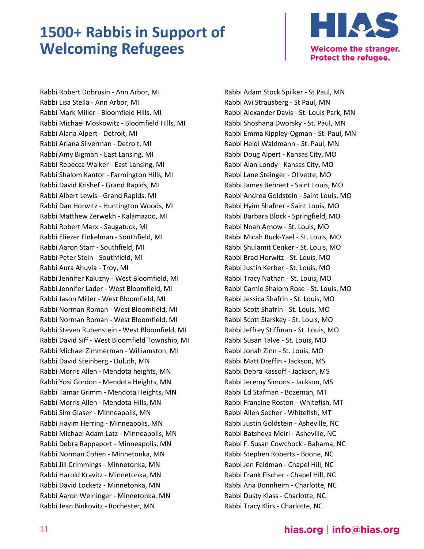

Rabbi Robert Dobrusin - Ann Arbor, MI Rabbi Lisa Stella - Ann Arbor, MI Rabbi Mark Miller - Bloomfield Hills, MI Rabbi Michael Moskowitz - Bloomfield Hills, MI Rabbi Alana Alpert - Detroit, MI Rabbi Ariana Silverman - Detroit, MI Rabbi Amy Bigman - East Lansing, MI Rabbi Rebecca Walker - East Lansing, MI Rabbi Shalom Kantor - Farmington Hills, MI Rabbi David Krishef - Grand Rapids, MI Rabbi Albert Lewis - Grand Rapids, MI Rabbi Dan Horwitz - Huntington Woods, MI Rabbi Matthew Zerwekh - Kalamazoo, MI Rabbi Robert Marx - Saugatuck, MI Rabbi Eliezer Finkelman - Southfield, MI Rabbi Aaron Starr - Southfield, MI Rabbi Peter Stein - Southfield, MI Rabbi Aura Ahuvia - Troy, MI Rabbi Jennifer Kaluzny - West Bloomfield, MI Rabbi Jennifer Lader - West Bloomfield, MI Rabbi Jason Miller - West Bloomfield, MI Rabbi Norman Roman - West Bloomfield, MI Rabbi Norman Roman - West Bloomfield, MI Rabbi Steven Rubenstein - West Bloomfield, MI Rabbi David Siff - West Bloomfield Township, MI Rabbi Michael Zimmerman - Williamston, MI Rabbi David Steinberg - Duluth, MN Rabbi Morris Allen - Mendota heights, MN Rabbi Yosi Gordon - Mendota Heights, MN Rabbi Tamar Grimm - Mendota Heights, MN Rabbi Morris Allen - Mendota Hills, MN Rabbi Sim Glaser - Minneapolis, MN Rabbi Hayim Herring - Minneapolis, MN Rabbi Michael Adam Latz - Minneapolis, MN Rabbi Debra Rappaport - Minneapolis, MN Rabbi Norman Cohen - Minnetonka, MN Rabbi Jill Crimmings - Minnetonka, MN Rabbi Harold Kravitz - Minnetonka, MN Rabbi David Locketz - Minnetonka, MN Rabbi Aaron Weininger - Minnetonka, MN Rabbi Jean Binkovitz - Rochester, MN

Rabbi Adam Stock Spilker - St Paul, MN Rabbi Avi Strausberg - St Paul, MN Rabbi Alexander Davis - St. Louis Park, MN Rabbi Shoshana Dworsky - St. Paul, MN Rabbi Emma Kippley-Ogman - St. Paul, MN Rabbi Heidi Waldmann - St. Paul, MN Rabbi Doug Alpert - Kansas City, MO Rabbi Alan Londy - Kansas City, MO Rabbi Lane Steinger - Olivette, MO Rabbi James Bennett - Saint Louis, MO Rabbi Andrea Goldstein - Saint Louis, MO Rabbi Hyim Shafner - Saint Louis, MO Rabbi Barbara Block - Springfield, MO Rabbi Noah Arnow - St. Louis, MO Rabbi Micah Buck-Yael - St. Louis, MO Rabbi Shulamit Cenker - St. Louis, MO Rabbi Brad Horwitz - St. Louis, MO Rabbi Justin Kerber - St. Louis, MO Rabbi Tracy Nathan - St. Louis, MO Rabbi Carnie Shalom Rose - St. Louis, MO Rabbi Jessica Shafrin - St. Louis, MO Rabbi Scott Shafrin - St. Louis, MO Rabbi Scott Slarskey - St. Louis, MO Rabbi Jeffrey Stiffman - St. Louis, MO Rabbi Susan Talve - St. Louis, MO Rabbi Jonah Zinn - St. Louis, MO Rabbi Matt Dreffin - Jackson, MS Rabbi Debra Kassoff - Jackson, MS Rabbi Jeremy Simons - Jackson, MS Rabbi Ed Stafman - Bozeman, MT Rabbi Francine Roston - Whitefish, MT Rabbi Allen Secher - Whitefish, MT Rabbi Justin Goldstein - Asheville, NC Rabbi Batsheva Meiri - Asheville, NC Rabbi F. Susan Cowchock - Bahama, NC Rabbi Stephen Roberts - Boone, NC Rabbi Jen Feldman - Chapel Hill, NC Rabbi Frank Fischer - Chapel Hill, NC Rabbi Ana Bonnheim - Charlotte, NC Rabbi Dusty Klass - Charlotte, NC Rabbi Tracy Klirs - Charlotte, NC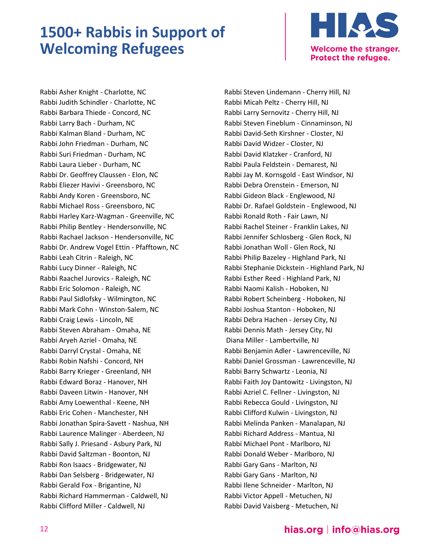

Rabbi Asher Knight - Charlotte, NC Rabbi Judith Schindler - Charlotte, NC Rabbi Barbara Thiede - Concord, NC Rabbi Larry Bach - Durham, NC Rabbi Kalman Bland - Durham, NC Rabbi John Friedman - Durham, NC Rabbi Suri Friedman - Durham, NC Rabbi Laura Lieber - Durham, NC Rabbi Dr. Geoffrey Claussen - Elon, NC Rabbi Eliezer Havivi - Greensboro, NC Rabbi Andy Koren - Greensboro, NC Rabbi Michael Ross - Greensboro, NC Rabbi Harley Karz-Wagman - Greenville, NC Rabbi Philip Bentley - Hendersonville, NC Rabbi Rachael Jackson - Hendersonville, NC Rabbi Dr. Andrew Vogel Ettin - Pfafftown, NC Rabbi Leah Citrin - Raleigh, NC Rabbi Lucy Dinner - Raleigh, NC Rabbi Raachel Jurovics - Raleigh, NC Rabbi Eric Solomon - Raleigh, NC Rabbi Paul Sidlofsky - Wilmington, NC Rabbi Mark Cohn - Winston-Salem, NC Rabbi Craig Lewis - Lincoln, NE Rabbi Steven Abraham - Omaha, NE Rabbi Aryeh Azriel - Omaha, NE Rabbi Darryl Crystal - Omaha, NE Rabbi Robin Nafshi - Concord, NH Rabbi Barry Krieger - Greenland, NH Rabbi Edward Boraz - Hanover, NH Rabbi Daveen Litwin - Hanover, NH Rabbi Amy Loewenthal - Keene, NH Rabbi Eric Cohen - Manchester, NH Rabbi Jonathan Spira-Savett - Nashua, NH Rabbi Laurence Malinger - Aberdeen, NJ Rabbi Sally J. Priesand - Asbury Park, NJ Rabbi David Saltzman - Boonton, NJ Rabbi Ron Isaacs - Bridgewater, NJ Rabbi Dan Selsberg - Bridgewater, NJ Rabbi Gerald Fox - Brigantine, NJ Rabbi Richard Hammerman - Caldwell, NJ Rabbi Clifford Miller - Caldwell, NJ

Rabbi Steven Lindemann - Cherry Hill, NJ Rabbi Micah Peltz - Cherry Hill, NJ Rabbi Larry Sernovitz - Cherry Hill, NJ Rabbi Steven Fineblum - Cinnaminson, NJ Rabbi David-Seth Kirshner - Closter, NJ Rabbi David Widzer - Closter, NJ Rabbi David Klatzker - Cranford, NJ Rabbi Paula Feldstein - Demarest, NJ Rabbi Jay M. Kornsgold - East Windsor, NJ Rabbi Debra Orenstein - Emerson, NJ Rabbi Gideon Black - Englewood, NJ Rabbi Dr. Rafael Goldstein - Englewood, NJ Rabbi Ronald Roth - Fair Lawn, NJ Rabbi Rachel Steiner - Franklin Lakes, NJ Rabbi Jennifer Schlosberg - Glen Rock, NJ Rabbi Jonathan Woll - Glen Rock, NJ Rabbi Philip Bazeley - Highland Park, NJ Rabbi Stephanie Dickstein - Highland Park, NJ Rabbi Esther Reed - Highland Park, NJ Rabbi Naomi Kalish - Hoboken, NJ Rabbi Robert Scheinberg - Hoboken, NJ Rabbi Joshua Stanton - Hoboken, NJ Rabbi Debra Hachen - Jersey City, NJ Rabbi Dennis Math - Jersey City, NJ Diana Miller - Lambertville, NJ Rabbi Benjamin Adler - Lawrenceville, NJ Rabbi Daniel Grossman - Lawrenceville, NJ Rabbi Barry Schwartz - Leonia, NJ Rabbi Faith Joy Dantowitz - Livingston, NJ Rabbi Azriel C. Fellner - Livingston, NJ Rabbi Rebecca Gould - Livingston, NJ Rabbi Clifford Kulwin - Livingston, NJ Rabbi Melinda Panken - Manalapan, NJ Rabbi Richard Address - Mantua, NJ Rabbi Michael Pont - Marlboro, NJ Rabbi Donald Weber - Marlboro, NJ Rabbi Gary Gans - Marlton, NJ Rabbi Gary Gans - Marlton, NJ Rabbi Ilene Schneider - Marlton, NJ Rabbi Victor Appell - Metuchen, NJ Rabbi David Vaisberg - Metuchen, NJ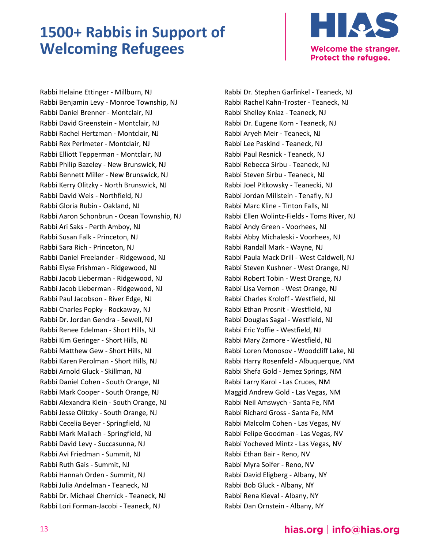

Rabbi Helaine Ettinger - Millburn, NJ Rabbi Benjamin Levy - Monroe Township, NJ Rabbi Daniel Brenner - Montclair, NJ Rabbi David Greenstein - Montclair, NJ Rabbi Rachel Hertzman - Montclair, NJ Rabbi Rex Perlmeter - Montclair, NJ Rabbi Elliott Tepperman - Montclair, NJ Rabbi Philip Bazeley - New Brunswick, NJ Rabbi Bennett Miller - New Brunswick, NJ Rabbi Kerry Olitzky - North Brunswick, NJ Rabbi David Weis - Northfield, NJ Rabbi Gloria Rubin - Oakland, NJ Rabbi Aaron Schonbrun - Ocean Township, NJ Rabbi Ari Saks - Perth Amboy, NJ Rabbi Susan Falk - Princeton, NJ Rabbi Sara Rich - Princeton, NJ Rabbi Daniel Freelander - Ridgewood, NJ Rabbi Elyse Frishman - Ridgewood, NJ Rabbi Jacob Lieberman - Ridgewood, NJ Rabbi Jacob Lieberman - Ridgewood, NJ Rabbi Paul Jacobson - River Edge, NJ Rabbi Charles Popky - Rockaway, NJ Rabbi Dr. Jordan Gendra - Sewell, NJ Rabbi Renee Edelman - Short Hills, NJ Rabbi Kim Geringer - Short Hills, NJ Rabbi Matthew Gew - Short Hills, NJ Rabbi Karen Perolman - Short Hills, NJ Rabbi Arnold Gluck - Skillman, NJ Rabbi Daniel Cohen - South Orange, NJ Rabbi Mark Cooper - South Orange, NJ Rabbi Alexandra Klein - South Orange, NJ Rabbi Jesse Olitzky - South Orange, NJ Rabbi Cecelia Beyer - Springfield, NJ Rabbi Mark Mallach - Springfield, NJ Rabbi David Levy - Succasunna, NJ Rabbi Avi Friedman - Summit, NJ Rabbi Ruth Gais - Summit, NJ Rabbi Hannah Orden - Summit, NJ Rabbi Julia Andelman - Teaneck, NJ Rabbi Dr. Michael Chernick - Teaneck, NJ Rabbi Lori Forman-Jacobi - Teaneck, NJ

Rabbi Dr. Stephen Garfinkel - Teaneck, NJ Rabbi Rachel Kahn-Troster - Teaneck, NJ Rabbi Shelley Kniaz - Teaneck, NJ Rabbi Dr. Eugene Korn - Teaneck, NJ Rabbi Aryeh Meir - Teaneck, NJ Rabbi Lee Paskind - Teaneck, NJ Rabbi Paul Resnick - Teaneck, NJ Rabbi Rebecca Sirbu - Teaneck, NJ Rabbi Steven Sirbu - Teaneck, NJ Rabbi Joel Pitkowsky - Teanecki, NJ Rabbi Jordan Millstein - Tenafly, NJ Rabbi Marc Kline - Tinton Falls, NJ Rabbi Ellen Wolintz-Fields - Toms River, NJ Rabbi Andy Green - Voorhees, NJ Rabbi Abby Michaleski - Voorhees, NJ Rabbi Randall Mark - Wayne, NJ Rabbi Paula Mack Drill - West Caldwell, NJ Rabbi Steven Kushner - West Orange, NJ Rabbi Robert Tobin - West Orange, NJ Rabbi Lisa Vernon - West Orange, NJ Rabbi Charles Kroloff - Westfield, NJ Rabbi Ethan Prosnit - Westfield, NJ Rabbi Douglas Sagal - Westfield, NJ Rabbi Eric Yoffie - Westfield, NJ Rabbi Mary Zamore - Westfield, NJ Rabbi Loren Monosov - Woodcliff Lake, NJ Rabbi Harry Rosenfeld - Albuquerque, NM Rabbi Shefa Gold - Jemez Springs, NM Rabbi Larry Karol - Las Cruces, NM Maggid Andrew Gold - Las Vegas, NM Rabbi Neil Amswych - Santa Fe, NM Rabbi Richard Gross - Santa Fe, NM Rabbi Malcolm Cohen - Las Vegas, NV Rabbi Felipe Goodman - Las Vegas, NV Rabbi Yocheved Mintz - Las Vegas, NV Rabbi Ethan Bair - Reno, NV Rabbi Myra Soifer - Reno, NV Rabbi David Eligberg - Albany, NY Rabbi Bob Gluck - Albany, NY Rabbi Rena Kieval - Albany, NY Rabbi Dan Ornstein - Albany, NY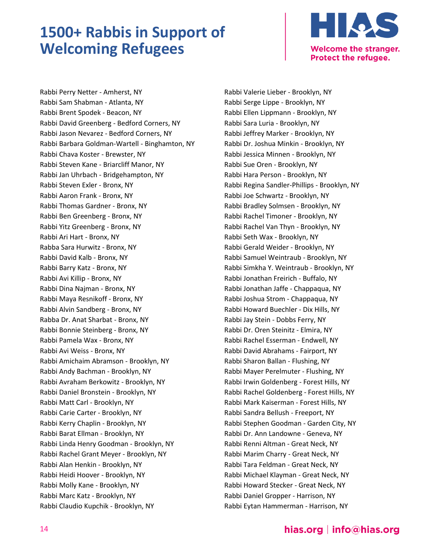

Rabbi Perry Netter - Amherst, NY Rabbi Sam Shabman - Atlanta, NY Rabbi Brent Spodek - Beacon, NY Rabbi David Greenberg - Bedford Corners, NY Rabbi Jason Nevarez - Bedford Corners, NY Rabbi Barbara Goldman-Wartell - Binghamton, NY Rabbi Chava Koster - Brewster, NY Rabbi Steven Kane - Briarcliff Manor, NY Rabbi Jan Uhrbach - Bridgehampton, NY Rabbi Steven Exler - Bronx, NY Rabbi Aaron Frank - Bronx, NY Rabbi Thomas Gardner - Bronx, NY Rabbi Ben Greenberg - Bronx, NY Rabbi Yitz Greenberg - Bronx, NY Rabbi Ari Hart - Bronx, NY Rabba Sara Hurwitz - Bronx, NY Rabbi David Kalb - Bronx, NY Rabbi Barry Katz - Bronx, NY Rabbi Avi Killip - Bronx, NY Rabbi Dina Najman - Bronx, NY Rabbi Maya Resnikoff - Bronx, NY Rabbi Alvin Sandberg - Bronx, NY Rabba Dr. Anat Sharbat - Bronx, NY Rabbi Bonnie Steinberg - Bronx, NY Rabbi Pamela Wax - Bronx, NY Rabbi Avi Weiss - Bronx, NY Rabbi Amichaim Abramson - Brooklyn, NY Rabbi Andy Bachman - Brooklyn, NY Rabbi Avraham Berkowitz - Brooklyn, NY Rabbi Daniel Bronstein - Brooklyn, NY Rabbi Matt Carl - Brooklyn, NY Rabbi Carie Carter - Brooklyn, NY Rabbi Kerry Chaplin - Brooklyn, NY Rabbi Barat Ellman - Brooklyn, NY Rabbi Linda Henry Goodman - Brooklyn, NY Rabbi Rachel Grant Meyer - Brooklyn, NY Rabbi Alan Henkin - Brooklyn, NY Rabbi Heidi Hoover - Brooklyn, NY Rabbi Molly Kane - Brooklyn, NY Rabbi Marc Katz - Brooklyn, NY Rabbi Claudio Kupchik - Brooklyn, NY

Rabbi Valerie Lieber - Brooklyn, NY Rabbi Serge Lippe - Brooklyn, NY Rabbi Ellen Lippmann - Brooklyn, NY Rabbi Sara Luria - Brooklyn, NY Rabbi Jeffrey Marker - Brooklyn, NY Rabbi Dr. Joshua Minkin - Brooklyn, NY Rabbi Jessica Minnen - Brooklyn, NY Rabbi Sue Oren - Brooklyn, NY Rabbi Hara Person - Brooklyn, NY Rabbi Regina Sandler-Phillips - Brooklyn, NY Rabbi Joe Schwartz - Brooklyn, NY Rabbi Bradley Solmsen - Brooklyn, NY Rabbi Rachel Timoner - Brooklyn, NY Rabbi Rachel Van Thyn - Brooklyn, NY Rabbi Seth Wax - Brooklyn, NY Rabbi Gerald Weider - Brooklyn, NY Rabbi Samuel Weintraub - Brooklyn, NY Rabbi Simkha Y. Weintraub - Brooklyn, NY Rabbi Jonathan Freirich - Buffalo, NY Rabbi Jonathan Jaffe - Chappaqua, NY Rabbi Joshua Strom - Chappaqua, NY Rabbi Howard Buechler - Dix Hills, NY Rabbi Jay Stein - Dobbs Ferry, NY Rabbi Dr. Oren Steinitz - Elmira, NY Rabbi Rachel Esserman - Endwell, NY Rabbi David Abrahams - Fairport, NY Rabbi Sharon Ballan - Flushing, NY Rabbi Mayer Perelmuter - Flushing, NY Rabbi Irwin Goldenberg - Forest Hills, NY Rabbi Rachel Goldenberg - Forest Hills, NY Rabbi Mark Kaiserman - Forest Hills, NY Rabbi Sandra Bellush - Freeport, NY Rabbi Stephen Goodman - Garden City, NY Rabbi Dr. Ann Landowne - Geneva, NY Rabbi Renni Altman - Great Neck, NY Rabbi Marim Charry - Great Neck, NY Rabbi Tara Feldman - Great Neck, NY Rabbi Michael Klayman - Great Neck, NY Rabbi Howard Stecker - Great Neck, NY Rabbi Daniel Gropper - Harrison, NY Rabbi Eytan Hammerman - Harrison, NY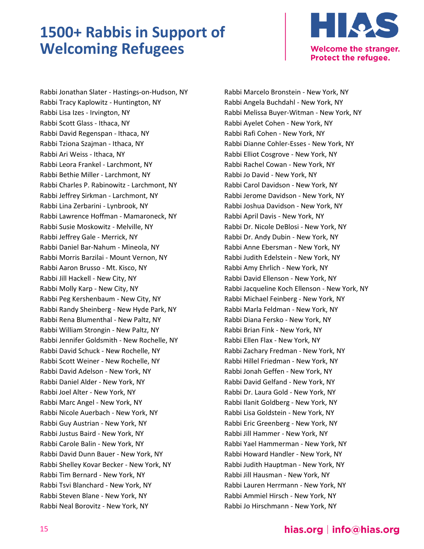

Rabbi Jonathan Slater - Hastings-on-Hudson, NY Rabbi Tracy Kaplowitz - Huntington, NY Rabbi Lisa Izes - Irvington, NY Rabbi Scott Glass - Ithaca, NY Rabbi David Regenspan - Ithaca, NY Rabbi Tziona Szajman - Ithaca, NY Rabbi Ari Weiss - Ithaca, NY Rabbi Leora Frankel - Larchmont, NY Rabbi Bethie Miller - Larchmont, NY Rabbi Charles P. Rabinowitz - Larchmont, NY Rabbi Jeffrey Sirkman - Larchmont, NY Rabbi Lina Zerbarini - Lynbrook, NY Rabbi Lawrence Hoffman - Mamaroneck, NY Rabbi Susie Moskowitz - Melville, NY Rabbi Jeffrey Gale - Merrick, NY Rabbi Daniel Bar-Nahum - Mineola, NY Rabbi Morris Barzilai - Mount Vernon, NY Rabbi Aaron Brusso - Mt. Kisco, NY Rabbi Jill Hackell - New City, NY Rabbi Molly Karp - New City, NY Rabbi Peg Kershenbaum - New City, NY Rabbi Randy Sheinberg - New Hyde Park, NY Rabbi Rena Blumenthal - New Paltz, NY Rabbi William Strongin - New Paltz, NY Rabbi Jennifer Goldsmith - New Rochelle, NY Rabbi David Schuck - New Rochelle, NY Rabbi Scott Weiner - New Rochelle, NY Rabbi David Adelson - New York, NY Rabbi Daniel Alder - New York, NY Rabbi Joel Alter - New York, NY Rabbi Marc Angel - New York, NY Rabbi Nicole Auerbach - New York, NY Rabbi Guy Austrian - New York, NY Rabbi Justus Baird - New York, NY Rabbi Carole Balin - New York, NY Rabbi David Dunn Bauer - New York, NY Rabbi Shelley Kovar Becker - New York, NY Rabbi Tim Bernard - New York, NY Rabbi Tsvi Blanchard - New York, NY Rabbi Steven Blane - New York, NY Rabbi Neal Borovitz - New York, NY

Rabbi Marcelo Bronstein - New York, NY Rabbi Angela Buchdahl - New York, NY Rabbi Melissa Buyer-Witman - New York, NY Rabbi Ayelet Cohen - New York, NY Rabbi Rafi Cohen - New York, NY Rabbi Dianne Cohler-Esses - New York, NY Rabbi Elliot Cosgrove - New York, NY Rabbi Rachel Cowan - New York, NY Rabbi Jo David - New York, NY Rabbi Carol Davidson - New York, NY Rabbi Jerome Davidson - New York, NY Rabbi Joshua Davidson - New York, NY Rabbi April Davis - New York, NY Rabbi Dr. Nicole DeBlosi - New York, NY Rabbi Dr. Andy Dubin - New York, NY Rabbi Anne Ebersman - New York, NY Rabbi Judith Edelstein - New York, NY Rabbi Amy Ehrlich - New York, NY Rabbi David Ellenson - New York, NY Rabbi Jacqueline Koch Ellenson - New York, NY Rabbi Michael Feinberg - New York, NY Rabbi Marla Feldman - New York, NY Rabbi Diana Fersko - New York, NY Rabbi Brian Fink - New York, NY Rabbi Ellen Flax - New York, NY Rabbi Zachary Fredman - New York, NY Rabbi Hillel Friedman - New York, NY Rabbi Jonah Geffen - New York, NY Rabbi David Gelfand - New York, NY Rabbi Dr. Laura Gold - New York, NY Rabbi Ilanit Goldberg - New York, NY Rabbi Lisa Goldstein - New York, NY Rabbi Eric Greenberg - New York, NY Rabbi Jill Hammer - New York, NY Rabbi Yael Hammerman - New York, NY Rabbi Howard Handler - New York, NY Rabbi Judith Hauptman - New York, NY Rabbi Jill Hausman - New York, NY Rabbi Lauren Herrmann - New York, NY Rabbi Ammiel Hirsch - New York, NY Rabbi Jo Hirschmann - New York, NY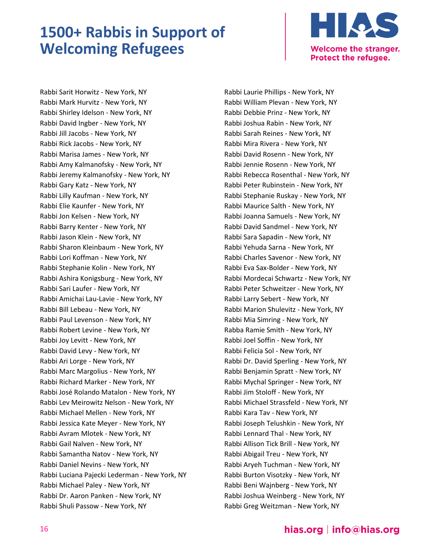

Rabbi Sarit Horwitz - New York, NY Rabbi Mark Hurvitz - New York, NY Rabbi Shirley Idelson - New York, NY Rabbi David Ingber - New York, NY Rabbi Jill Jacobs - New York, NY Rabbi Rick Jacobs - New York, NY Rabbi Marisa James - New York, NY Rabbi Amy Kalmanofsky - New York, NY Rabbi Jeremy Kalmanofsky - New York, NY Rabbi Gary Katz - New York, NY Rabbi Lilly Kaufman - New York, NY Rabbi Elie Kaunfer - New York, NY Rabbi Jon Kelsen - New York, NY Rabbi Barry Kenter - New York, NY Rabbi Jason Klein - New York, NY Rabbi Sharon Kleinbaum - New York, NY Rabbi Lori Koffman - New York, NY Rabbi Stephanie Kolin - New York, NY Rabbi Ashira Konigsburg - New York, NY Rabbi Sari Laufer - New York, NY Rabbi Amichai Lau-Lavie - New York, NY Rabbi Bill Lebeau - New York, NY Rabbi Paul Levenson - New York, NY Rabbi Robert Levine - New York, NY Rabbi Joy Levitt - New York, NY Rabbi David Levy - New York, NY Rabbi Ari Lorge - New York, NY Rabbi Marc Margolius - New York, NY Rabbi Richard Marker - New York, NY Rabbi José Rolando Matalon - New York, NY Rabbi Lev Meirowitz Nelson - New York, NY Rabbi Michael Mellen - New York, NY Rabbi Jessica Kate Meyer - New York, NY Rabbi Avram Mlotek - New York, NY Rabbi Gail Nalven - New York, NY Rabbi Samantha Natov - New York, NY Rabbi Daniel Nevins - New York, NY Rabbi Luciana Pajecki Lederman - New York, NY Rabbi Michael Paley - New York, NY Rabbi Dr. Aaron Panken - New York, NY Rabbi Shuli Passow - New York, NY

Rabbi Laurie Phillips - New York, NY Rabbi William Plevan - New York, NY Rabbi Debbie Prinz - New York, NY Rabbi Joshua Rabin - New York, NY Rabbi Sarah Reines - New York, NY Rabbi Mira Rivera - New York, NY Rabbi David Rosenn - New York, NY Rabbi Jennie Rosenn - New York, NY Rabbi Rebecca Rosenthal - New York, NY Rabbi Peter Rubinstein - New York, NY Rabbi Stephanie Ruskay - New York, NY Rabbi Maurice Salth - New York, NY Rabbi Joanna Samuels - New York, NY Rabbi David Sandmel - New York, NY Rabbi Sara Sapadin - New York, NY Rabbi Yehuda Sarna - New York, NY Rabbi Charles Savenor - New York, NY Rabbi Eva Sax-Bolder - New York, NY Rabbi Mordecai Schwartz - New York, NY Rabbi Peter Schweitzer - New York, NY Rabbi Larry Sebert - New York, NY Rabbi Marion Shulevitz - New York, NY Rabbi Mia Simring - New York, NY Rabba Ramie Smith - New York, NY Rabbi Joel Soffin - New York, NY Rabbi Felicia Sol - New York, NY Rabbi Dr. David Sperling - New York, NY Rabbi Benjamin Spratt - New York, NY Rabbi Mychal Springer - New York, NY Rabbi Jim Stoloff - New York, NY Rabbi Michael Strassfeld - New York, NY Rabbi Kara Tav - New York, NY Rabbi Joseph Telushkin - New York, NY Rabbi Lennard Thal - New York, NY Rabbi Allison Tick Brill - New York, NY Rabbi Abigail Treu - New York, NY Rabbi Aryeh Tuchman - New York, NY Rabbi Burton Visotzky - New York, NY Rabbi Beni Wajnberg - New York, NY Rabbi Joshua Weinberg - New York, NY Rabbi Greg Weitzman - New York, NY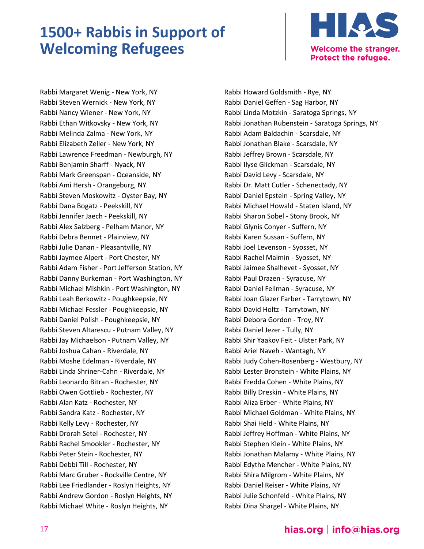

Rabbi Margaret Wenig - New York, NY Rabbi Steven Wernick - New York, NY Rabbi Nancy Wiener - New York, NY Rabbi Ethan Witkovsky - New York, NY Rabbi Melinda Zalma - New York, NY Rabbi Elizabeth Zeller - New York, NY Rabbi Lawrence Freedman - Newburgh, NY Rabbi Benjamin Sharff - Nyack, NY Rabbi Mark Greenspan - Oceanside, NY Rabbi Ami Hersh - Orangeburg, NY Rabbi Steven Moskowitz - Oyster Bay, NY Rabbi Dana Bogatz - Peekskill, NY Rabbi Jennifer Jaech - Peekskill, NY Rabbi Alex Salzberg - Pelham Manor, NY Rabbi Debra Bennet - Plainview, NY Rabbi Julie Danan - Pleasantville, NY Rabbi Jaymee Alpert - Port Chester, NY Rabbi Adam Fisher - Port Jefferson Station, NY Rabbi Danny Burkeman - Port Washington, NY Rabbi Michael Mishkin - Port Washington, NY Rabbi Leah Berkowitz - Poughkeepsie, NY Rabbi Michael Fessler - Poughkeepsie, NY Rabbi Daniel Polish - Poughkeepsie, NY Rabbi Steven Altarescu - Putnam Valley, NY Rabbi Jay Michaelson - Putnam Valley, NY Rabbi Joshua Cahan - Riverdale, NY Rabbi Moshe Edelman - Riverdale, NY Rabbi Linda Shriner-Cahn - Riverdale, NY Rabbi Leonardo Bitran - Rochester, NY Rabbi Owen Gottlieb - Rochester, NY Rabbi Alan Katz - Rochester, NY Rabbi Sandra Katz - Rochester, NY Rabbi Kelly Levy - Rochester, NY Rabbi Drorah Setel - Rochester, NY Rabbi Rachel Smookler - Rochester, NY Rabbi Peter Stein - Rochester, NY Rabbi Debbi Till - Rochester, NY Rabbi Marc Gruber - Rockville Centre, NY Rabbi Lee Friedlander - Roslyn Heights, NY Rabbi Andrew Gordon - Roslyn Heights, NY Rabbi Michael White - Roslyn Heights, NY

Rabbi Howard Goldsmith - Rye, NY Rabbi Daniel Geffen - Sag Harbor, NY Rabbi Linda Motzkin - Saratoga Springs, NY Rabbi Jonathan Rubenstein - Saratoga Springs, NY Rabbi Adam Baldachin - Scarsdale, NY Rabbi Jonathan Blake - Scarsdale, NY Rabbi Jeffrey Brown - Scarsdale, NY Rabbi Ilyse Glickman - Scarsdale, NY Rabbi David Levy - Scarsdale, NY Rabbi Dr. Matt Cutler - Schenectady, NY Rabbi Daniel Epstein - Spring Valley, NY Rabbi Michael Howald - Staten Island, NY Rabbi Sharon Sobel - Stony Brook, NY Rabbi Glynis Conyer - Suffern, NY Rabbi Karen Sussan - Suffern, NY Rabbi Joel Levenson - Syosset, NY Rabbi Rachel Maimin - Syosset, NY Rabbi Jaimee Shalhevet - Syosset, NY Rabbi Paul Drazen - Syracuse, NY Rabbi Daniel Fellman - Syracuse, NY Rabbi Joan Glazer Farber - Tarrytown, NY Rabbi David Holtz - Tarrytown, NY Rabbi Debora Gordon - Troy, NY Rabbi Daniel Jezer - Tully, NY Rabbi Shir Yaakov Feit - Ulster Park, NY Rabbi Ariel Naveh - Wantagh, NY Rabbi Judy Cohen-Rosenberg - Westbury, NY Rabbi Lester Bronstein - White Plains, NY Rabbi Fredda Cohen - White Plains, NY Rabbi Billy Dreskin - White Plains, NY Rabbi Aliza Erber - White Plains, NY Rabbi Michael Goldman - White Plains, NY Rabbi Shai Held - White Plains, NY Rabbi Jeffrey Hoffman - White Plains, NY Rabbi Stephen Klein - White Plains, NY Rabbi Jonathan Malamy - White Plains, NY Rabbi Edythe Mencher - White Plains, NY Rabbi Shira Milgrom - White Plains, NY Rabbi Daniel Reiser - White Plains, NY Rabbi Julie Schonfeld - White Plains, NY Rabbi Dina Shargel - White Plains, NY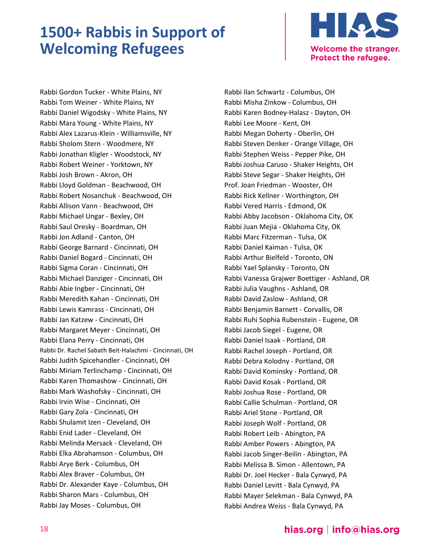

Rabbi Gordon Tucker - White Plains, NY Rabbi Tom Weiner - White Plains, NY Rabbi Daniel Wigodsky - White Plains, NY Rabbi Mara Young - White Plains, NY Rabbi Alex Lazarus-Klein - Williamsville, NY Rabbi Sholom Stern - Woodmere, NY Rabbi Jonathan Kligler - Woodstock, NY Rabbi Robert Weiner - Yorktown, NY Rabbi Josh Brown - Akron, OH Rabbi Lloyd Goldman - Beachwood, OH Rabbi Robert Nosanchuk - Beachwood, OH Rabbi Allison Vann - Beachwood, OH Rabbi Michael Ungar - Bexley, OH Rabbi Saul Oresky - Boardman, OH Rabbi Jon Adland - Canton, OH Rabbi George Barnard - Cincinnati, OH Rabbi Daniel Bogard - Cincinnati, OH Rabbi Sigma Coran - Cincinnati, OH Rabbi Michael Danziger - Cincinnati, OH Rabbi Abie Ingber - Cincinnati, OH Rabbi Meredith Kahan - Cincinnati, OH Rabbi Lewis Kamrass - CIncinnati, OH Rabbi Jan Katzew - Cincinnati, OH Rabbi Margaret Meyer - Cincinnati, OH Rabbi Elana Perry - Cincinnati, OH Rabbi Dr. Rachel Sabath Beit-Halachmi - Cincinnati, OH Rabbi Judith Spicehandler - Cincinnati, OH Rabbi Miriam Terlinchamp - Cincinnati, OH Rabbi Karen Thomashow - Cincinnati, OH Rabbi Mark Washofsky - Cincinnati, OH Rabbi Irvin Wise - Cincinnati, OH Rabbi Gary Zola - Cincinnati, OH Rabbi Shulamit Izen - Cleveland, OH Rabbi Enid Lader - Cleveland, OH Rabbi Melinda Mersack - Cleveland, OH Rabbi Elka Abrahamson - Columbus, OH Rabbi Arye Berk - Columbus, OH Rabbi Alex Braver - Columbus, OH Rabbi Dr. Alexander Kaye - Columbus, OH Rabbi Sharon Mars - Columbus, OH Rabbi Jay Moses - Columbus, OH

Rabbi Ilan Schwartz - Columbus, OH Rabbi Misha Zinkow - Columbus, OH Rabbi Karen Bodney-Halasz - Dayton, OH Rabbi Lee Moore - Kent, OH Rabbi Megan Doherty - Oberlin, OH Rabbi Steven Denker - Orange Village, OH Rabbi Stephen Weiss - Pepper Pike, OH Rabbi Joshua Caruso - Shaker Heights, OH Rabbi Steve Segar - Shaker Heights, OH Prof. Joan Friedman - Wooster, OH Rabbi Rick Kellner - Worthington, OH Rabbi Vered Harris - Edmond, OK Rabbi Abby Jacobson - Oklahoma City, OK Rabbi Juan Mejia - Oklahoma City, OK Rabbi Marc Fitzerman - Tulsa, OK Rabbi Daniel Kaiman - Tulsa, OK Rabbi Arthur Bielfeld - Toronto, ON Rabbi Yael Splansky - Toronto, ON Rabbi Vanessa Grajwer Boettiger - Ashland, OR Rabbi Julia Vaughns - Ashland, OR Rabbi David Zaslow - Ashland, OR Rabbi Benjamin Barnett - Corvallis, OR Rabbi Ruhi Sophia Rubenstein - Eugene, OR Rabbi Jacob Siegel - Eugene, OR Rabbi Daniel Isaak - Portland, OR Rabbi Rachel Joseph - Portland, OR Rabbi Debra Kolodny - Portland, OR Rabbi David Kominsky - Portland, OR Rabbi David Kosak - Portland, OR Rabbi Joshua Rose - Portland, OR Rabbi Callie Schulman - Portland, OR Rabbi Ariel Stone - Portland, OR Rabbi Joseph Wolf - Portland, OR Rabbi Robert Leib - Abington, PA Rabbi Amber Powers - Abington, PA Rabbi Jacob Singer-Beilin - Abington, PA Rabbi Melissa B. Simon - Allentown, PA Rabbi Dr. Joel Hecker - Bala Cynwyd, PA Rabbi Daniel Levitt - Bala Cynwyd, PA Rabbi Mayer Selekman - Bala Cynwyd, PA Rabbi Andrea Weiss - Bala Cynwyd, PA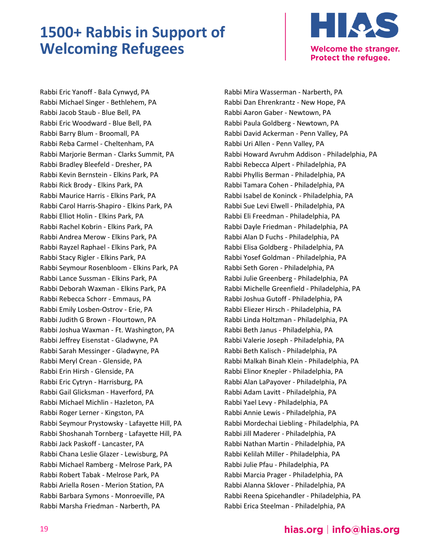

Rabbi Eric Yanoff - Bala Cynwyd, PA Rabbi Michael Singer - Bethlehem, PA Rabbi Jacob Staub - Blue Bell, PA Rabbi Eric Woodward - Blue Bell, PA Rabbi Barry Blum - Broomall, PA Rabbi Reba Carmel - Cheltenham, PA Rabbi Marjorie Berman - Clarks Summit, PA Rabbi Bradley Bleefeld - Dresher, PA Rabbi Kevin Bernstein - Elkins Park, PA Rabbi Rick Brody - Elkins Park, PA Rabbi Maurice Harris - Elkins Park, PA Rabbi Carol Harris-Shapiro - Elkins Park, PA Rabbi Elliot Holin - Elkins Park, PA Rabbi Rachel Kobrin - Elkins Park, PA Rabbi Andrea Merow - Elkins Park, PA Rabbi Rayzel Raphael - Elkins Park, PA Rabbi Stacy Rigler - Elkins Park, PA Rabbi Seymour Rosenbloom - Elkins Park, PA Rabbi Lance Sussman - Elkins Park, PA Rabbi Deborah Waxman - Elkins Park, PA Rabbi Rebecca Schorr - Emmaus, PA Rabbi Emily Losben-Ostrov - Erie, PA Rabbi Judith G Brown - Flourtown, PA Rabbi Joshua Waxman - Ft. Washington, PA Rabbi Jeffrey Eisenstat - Gladwyne, PA Rabbi Sarah Messinger - Gladwyne, PA Rabbi Meryl Crean - Glenside, PA Rabbi Erin Hirsh - Glenside, PA Rabbi Eric Cytryn - Harrisburg, PA Rabbi Gail Glicksman - Haverford, PA Rabbi Michael Michlin - Hazleton, PA Rabbi Roger Lerner - Kingston, PA Rabbi Seymour Prystowsky - Lafayette Hill, PA Rabbi Shoshanah Tornberg - Lafayette Hill, PA Rabbi Jack Paskoff - Lancaster, PA Rabbi Chana Leslie Glazer - Lewisburg, PA Rabbi Michael Ramberg - Melrose Park, PA Rabbi Robert Tabak - Melrose Park, PA Rabbi Ariella Rosen - Merion Station, PA Rabbi Barbara Symons - Monroeville, PA Rabbi Marsha Friedman - Narberth, PA

Rabbi Mira Wasserman - Narberth, PA Rabbi Dan Ehrenkrantz - New Hope, PA Rabbi Aaron Gaber - Newtown, PA Rabbi Paula Goldberg - Newtown, PA Rabbi David Ackerman - Penn Valley, PA Rabbi Uri Allen - Penn Valley, PA Rabbi Howard Avruhm Addison - Philadelphia, PA Rabbi Rebecca Alpert - Philadelphia, PA Rabbi Phyllis Berman - Philadelphia, PA Rabbi Tamara Cohen - Philadelphia, PA Rabbi Isabel de Koninck - Philadelphia, PA Rabbi Sue Levi Elwell - Philadelphia, PA Rabbi Eli Freedman - Philadelphia, PA Rabbi Dayle Friedman - Philadelphia, PA Rabbi Alan D Fuchs - Philadelphia, PA Rabbi Elisa Goldberg - Philadelphia, PA Rabbi Yosef Goldman - Philadelphia, PA Rabbi Seth Goren - Philadelphia, PA Rabbi Julie Greenberg - Philadelphia, PA Rabbi Michelle Greenfield - Philadelphia, PA Rabbi Joshua Gutoff - Philadelphia, PA Rabbi Eliezer Hirsch - Philadelphia, PA Rabbi Linda Holtzman - Philadelphia, PA Rabbi Beth Janus - Philadelphia, PA Rabbi Valerie Joseph - Philadelphia, PA Rabbi Beth Kalisch - Philadelphia, PA Rabbi Malkah Binah Klein - Philadelphia, PA Rabbi Elinor Knepler - Philadelphia, PA Rabbi Alan LaPayover - Philadelphia, PA Rabbi Adam Lavitt - Philadelphia, PA Rabbi Yael Levy - Philadelphia, PA Rabbi Annie Lewis - Philadelphia, PA Rabbi Mordechai Liebling - Philadelphia, PA Rabbi Jill Maderer - Philadelphia, PA Rabbi Nathan Martin - Philadelphia, PA Rabbi Kelilah Miller - Philadelphia, PA Rabbi Julie Pfau - Philadelphia, PA Rabbi Marcia Prager - Philadelphia, PA Rabbi Alanna Sklover - Philadelphia, PA Rabbi Reena Spicehandler - Philadelphia, PA Rabbi Erica Steelman - Philadelphia, PA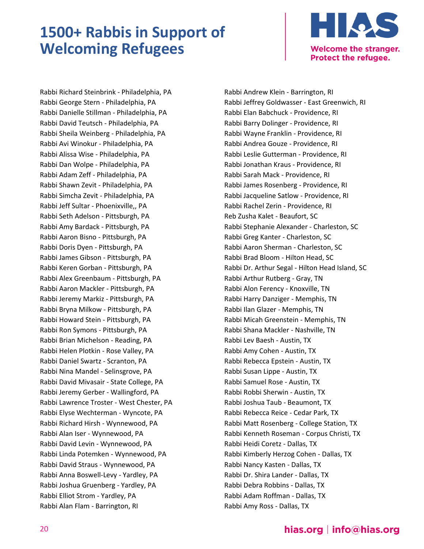

Rabbi Richard Steinbrink - Philadelphia, PA Rabbi George Stern - Philadelphia, PA Rabbi Danielle Stillman - Philadelphia, PA Rabbi David Teutsch - Philadelphia, PA Rabbi Sheila Weinberg - Philadelphia, PA Rabbi Avi Winokur - Philadelphia, PA Rabbi Alissa Wise - Philadelphia, PA Rabbi Dan Wolpe - Philadelphia, PA Rabbi Adam Zeff - Philadelphia, PA Rabbi Shawn Zevit - Philadelphia, PA Rabbi Simcha Zevit - Philadelphia, PA Rabbi Jeff Sultar - Phoenixville,, PA Rabbi Seth Adelson - Pittsburgh, PA Rabbi Amy Bardack - Pittsburgh, PA Rabbi Aaron Bisno - Pittsburgh, PA Rabbi Doris Dyen - Pittsburgh, PA Rabbi James Gibson - Pittsburgh, PA Rabbi Keren Gorban - Pittsburgh, PA Rabbi Alex Greenbaum - Pittsburgh, PA Rabbi Aaron Mackler - Pittsburgh, PA Rabbi Jeremy Markiz - Pittsburgh, PA Rabbi Bryna Milkow - Pittsburgh, PA Rabbi Howard Stein - Pittsburgh, PA Rabbi Ron Symons - Pittsburgh, PA Rabbi Brian Michelson - Reading, PA Rabbi Helen Plotkin - Rose Valley, PA Rabbi Daniel Swartz - Scranton, PA Rabbi Nina Mandel - Selinsgrove, PA Rabbi David Mivasair - State College, PA Rabbi Jeremy Gerber - Wallingford, PA Rabbi Lawrence Troster - West Chester, PA Rabbi Elyse Wechterman - Wyncote, PA Rabbi Richard Hirsh - Wynnewood, PA Rabbi Alan Iser - Wynnewood, PA Rabbi David Levin - Wynnewood, PA Rabbi Linda Potemken - Wynnewood, PA Rabbi David Straus - Wynnewood, PA Rabbi Anna Boswell-Levy - Yardley, PA Rabbi Joshua Gruenberg - Yardley, PA Rabbi Elliot Strom - Yardley, PA Rabbi Alan Flam - Barrington, RI

Rabbi Andrew Klein - Barrington, RI Rabbi Jeffrey Goldwasser - East Greenwich, RI Rabbi Elan Babchuck - Providence, RI Rabbi Barry Dolinger - Providence, RI Rabbi Wayne Franklin - Providence, RI Rabbi Andrea Gouze - Providence, RI Rabbi Leslie Gutterman - Providence, RI Rabbi Jonathan Kraus - Providence, RI Rabbi Sarah Mack - Providence, RI Rabbi James Rosenberg - Providence, RI Rabbi Jacqueline Satlow - Providence, RI Rabbi Rachel Zerin - Providence, RI Reb Zusha Kalet - Beaufort, SC Rabbi Stephanie Alexander - Charleston, SC Rabbi Greg Kanter - Charleston, SC Rabbi Aaron Sherman - Charleston, SC Rabbi Brad Bloom - Hilton Head, SC Rabbi Dr. Arthur Segal - Hilton Head Island, SC Rabbi Arthur Rutberg - Gray, TN Rabbi Alon Ferency - Knoxville, TN Rabbi Harry Danziger - Memphis, TN Rabbi Ilan Glazer - Memphis, TN Rabbi Micah Greenstein - Memphis, TN Rabbi Shana Mackler - Nashville, TN Rabbi Lev Baesh - Austin, TX Rabbi Amy Cohen - Austin, TX Rabbi Rebecca Epstein - Austin, TX Rabbi Susan Lippe - Austin, TX Rabbi Samuel Rose - Austin, TX Rabbi Robbi Sherwin - Austin, TX Rabbi Joshua Taub - Beaumont, TX Rabbi Rebecca Reice - Cedar Park, TX Rabbi Matt Rosenberg - College Station, TX Rabbi Kenneth Roseman - Corpus Christi, TX Rabbi Heidi Coretz - Dallas, TX Rabbi Kimberly Herzog Cohen - Dallas, TX Rabbi Nancy Kasten - Dallas, TX Rabbi Dr. Shira Lander - Dallas, TX Rabbi Debra Robbins - Dallas, TX Rabbi Adam Roffman - Dallas, TX Rabbi Amy Ross - Dallas, TX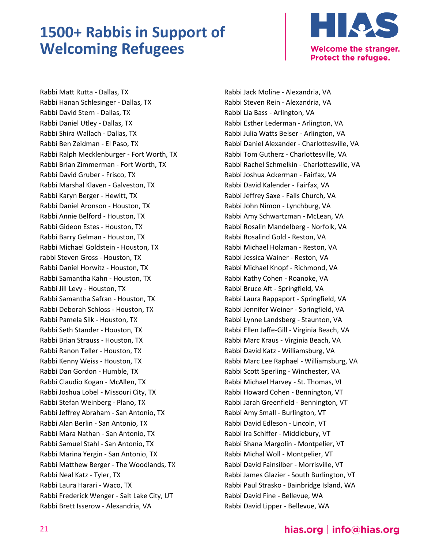

Rabbi Matt Rutta - Dallas, TX Rabbi Hanan Schlesinger - Dallas, TX Rabbi David Stern - Dallas, TX Rabbi Daniel Utley - Dallas, TX Rabbi Shira Wallach - Dallas, TX Rabbi Ben Zeidman - El Paso, TX Rabbi Ralph Mecklenburger - Fort Worth, TX Rabbi Brian Zimmerman - Fort Worth, TX Rabbi David Gruber - Frisco, TX Rabbi Marshal Klaven - Galveston, TX Rabbi Karyn Berger - Hewitt, TX Rabbi Daniel Aronson - Houston, TX Rabbi Annie Belford - Houston, TX Rabbi Gideon Estes - Houston, TX Rabbi Barry Gelman - Houston, TX Rabbi Michael Goldstein - Houston, TX rabbi Steven Gross - Houston, TX Rabbi Daniel Horwitz - Houston, TX Rabbi Samantha Kahn - Houston, TX Rabbi Jill Levy - Houston, TX Rabbi Samantha Safran - Houston, TX Rabbi Deborah Schloss - Houston, TX Rabbi Pamela Silk - Houston, TX Rabbi Seth Stander - Houston, TX Rabbi Brian Strauss - Houston, TX Rabbi Ranon Teller - Houston, TX Rabbi Kenny Weiss - Houston, TX Rabbi Dan Gordon - Humble, TX Rabbi Claudio Kogan - McAllen, TX Rabbi Joshua Lobel - Missouri City, TX Rabbi Stefan Weinberg - Plano, TX Rabbi Jeffrey Abraham - San Antonio, TX Rabbi Alan Berlin - San Antonio, TX Rabbi Mara Nathan - San Antonio, TX Rabbi Samuel Stahl - San Antonio, TX Rabbi Marina Yergin - San Antonio, TX Rabbi Matthew Berger - The Woodlands, TX Rabbi Neal Katz - Tyler, TX Rabbi Laura Harari - Waco, TX Rabbi Frederick Wenger - Salt Lake City, UT Rabbi Brett Isserow - Alexandria, VA

Rabbi Jack Moline - Alexandria, VA Rabbi Steven Rein - Alexandria, VA Rabbi Lia Bass - Arlington, VA Rabbi Esther Lederman - Arlington, VA Rabbi Julia Watts Belser - Arlington, VA Rabbi Daniel Alexander - Charlottesville, VA Rabbi Tom Gutherz - Charlottesville, VA Rabbi Rachel Schmelkin - Charlottesville, VA Rabbi Joshua Ackerman - Fairfax, VA Rabbi David Kalender - Fairfax, VA Rabbi Jeffrey Saxe - Falls Church, VA Rabbi John Nimon - Lynchburg, VA Rabbi Amy Schwartzman - McLean, VA Rabbi Rosalin Mandelberg - Norfolk, VA Rabbi Rosalind Gold - Reston, VA Rabbi Michael Holzman - Reston, VA Rabbi Jessica Wainer - Reston, VA Rabbi Michael Knopf - Richmond, VA Rabbi Kathy Cohen - Roanoke, VA Rabbi Bruce Aft - Springfield, VA Rabbi Laura Rappaport - Springfield, VA Rabbi Jennifer Weiner - Springfield, VA Rabbi Lynne Landsberg - Staunton, VA Rabbi Ellen Jaffe-Gill - Virginia Beach, VA Rabbi Marc Kraus - Virginia Beach, VA Rabbi David Katz - Williamsburg, VA Rabbi Marc Lee Raphael - Williamsburg, VA Rabbi Scott Sperling - Winchester, VA Rabbi Michael Harvey - St. Thomas, VI Rabbi Howard Cohen - Bennington, VT Rabbi Jarah Greenfield - Bennington, VT Rabbi Amy Small - Burlington, VT Rabbi David Edleson - Lincoln, VT Rabbi Ira Schiffer - Middlebury, VT Rabbi Shana Margolin - Montpelier, VT Rabbi Michal Woll - Montpelier, VT Rabbi David Fainsilber - Morrisville, VT Rabbi James Glazier - South Burlington, VT Rabbi Paul Strasko - Bainbridge Island, WA Rabbi David Fine - Bellevue, WA Rabbi David Lipper - Bellevue, WA